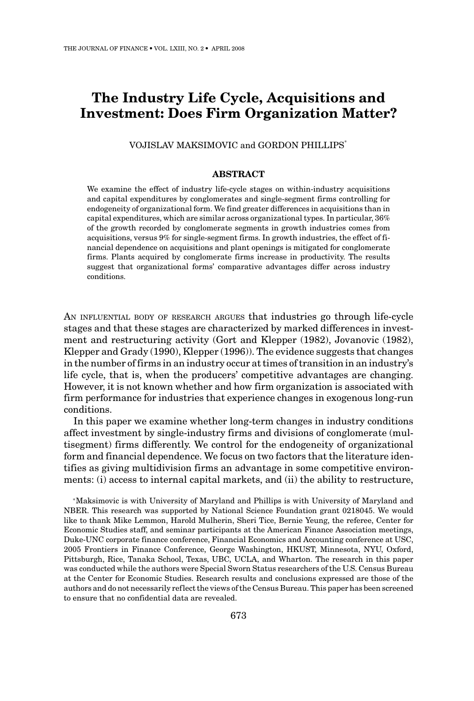# **The Industry Life Cycle, Acquisitions and Investment: Does Firm Organization Matter?**

VOJISLAV MAKSIMOVIC and GORDON PHILLIPS<sup>∗</sup>

#### **ABSTRACT**

We examine the effect of industry life-cycle stages on within-industry acquisitions and capital expenditures by conglomerates and single-segment firms controlling for endogeneity of organizational form. We find greater differences in acquisitions than in capital expenditures, which are similar across organizational types. In particular, 36% of the growth recorded by conglomerate segments in growth industries comes from acquisitions, versus 9% for single-segment firms. In growth industries, the effect of financial dependence on acquisitions and plant openings is mitigated for conglomerate firms. Plants acquired by conglomerate firms increase in productivity. The results suggest that organizational forms' comparative advantages differ across industry conditions.

AN INFLUENTIAL BODY OF RESEARCH ARGUES that industries go through life-cycle stages and that these stages are characterized by marked differences in investment and restructuring activity (Gort and Klepper (1982), Jovanovic (1982), Klepper and Grady (1990), Klepper (1996)). The evidence suggests that changes in the number of firms in an industry occur at times of transition in an industry's life cycle, that is, when the producers' competitive advantages are changing. However, it is not known whether and how firm organization is associated with firm performance for industries that experience changes in exogenous long-run conditions.

In this paper we examine whether long-term changes in industry conditions affect investment by single-industry firms and divisions of conglomerate (multisegment) firms differently. We control for the endogeneity of organizational form and financial dependence. We focus on two factors that the literature identifies as giving multidivision firms an advantage in some competitive environments: (i) access to internal capital markets, and (ii) the ability to restructure,

<sup>∗</sup>Maksimovic is with University of Maryland and Phillips is with University of Maryland and NBER. This research was supported by National Science Foundation grant 0218045. We would like to thank Mike Lemmon, Harold Mulherin, Sheri Tice, Bernie Yeung, the referee, Center for Economic Studies staff, and seminar participants at the American Finance Association meetings, Duke-UNC corporate finance conference, Financial Economics and Accounting conference at USC, 2005 Frontiers in Finance Conference, George Washington, HKUST, Minnesota, NYU, Oxford, Pittsburgh, Rice, Tanaka School, Texas, UBC, UCLA, and Wharton. The research in this paper was conducted while the authors were Special Sworn Status researchers of the U.S. Census Bureau at the Center for Economic Studies. Research results and conclusions expressed are those of the authors and do not necessarily reflect the views of the Census Bureau. This paper has been screened to ensure that no confidential data are revealed.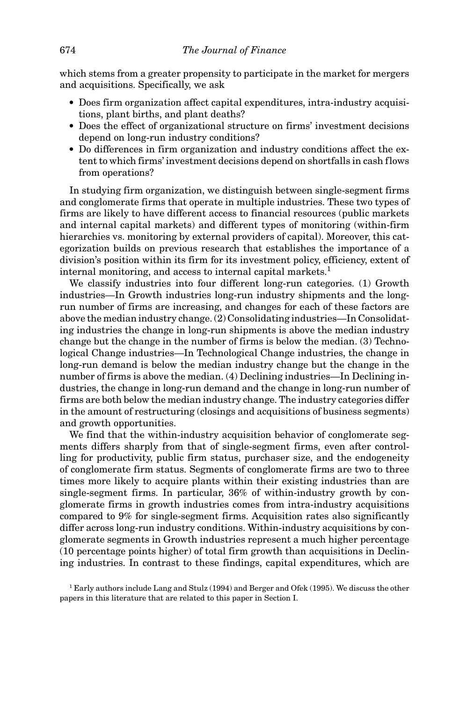which stems from a greater propensity to participate in the market for mergers and acquisitions. Specifically, we ask

- Does firm organization affect capital expenditures, intra-industry acquisitions, plant births, and plant deaths?
- Does the effect of organizational structure on firms' investment decisions depend on long-run industry conditions?
- Do differences in firm organization and industry conditions affect the extent to which firms' investment decisions depend on shortfalls in cash flows from operations?

In studying firm organization, we distinguish between single-segment firms and conglomerate firms that operate in multiple industries. These two types of firms are likely to have different access to financial resources (public markets and internal capital markets) and different types of monitoring (within-firm hierarchies vs. monitoring by external providers of capital). Moreover, this categorization builds on previous research that establishes the importance of a division's position within its firm for its investment policy, efficiency, extent of internal monitoring, and access to internal capital markets.<sup>1</sup>

We classify industries into four different long-run categories. (1) Growth industries—In Growth industries long-run industry shipments and the longrun number of firms are increasing, and changes for each of these factors are above the median industry change. (2) Consolidating industries—In Consolidating industries the change in long-run shipments is above the median industry change but the change in the number of firms is below the median. (3) Technological Change industries—In Technological Change industries, the change in long-run demand is below the median industry change but the change in the number of firms is above the median. (4) Declining industries—In Declining industries, the change in long-run demand and the change in long-run number of firms are both below the median industry change. The industry categories differ in the amount of restructuring (closings and acquisitions of business segments) and growth opportunities.

We find that the within-industry acquisition behavior of conglomerate segments differs sharply from that of single-segment firms, even after controlling for productivity, public firm status, purchaser size, and the endogeneity of conglomerate firm status. Segments of conglomerate firms are two to three times more likely to acquire plants within their existing industries than are single-segment firms. In particular, 36% of within-industry growth by conglomerate firms in growth industries comes from intra-industry acquisitions compared to 9% for single-segment firms. Acquisition rates also significantly differ across long-run industry conditions. Within-industry acquisitions by conglomerate segments in Growth industries represent a much higher percentage (10 percentage points higher) of total firm growth than acquisitions in Declining industries. In contrast to these findings, capital expenditures, which are

<sup>1</sup> Early authors include Lang and Stulz (1994) and Berger and Ofek (1995). We discuss the other papers in this literature that are related to this paper in Section I.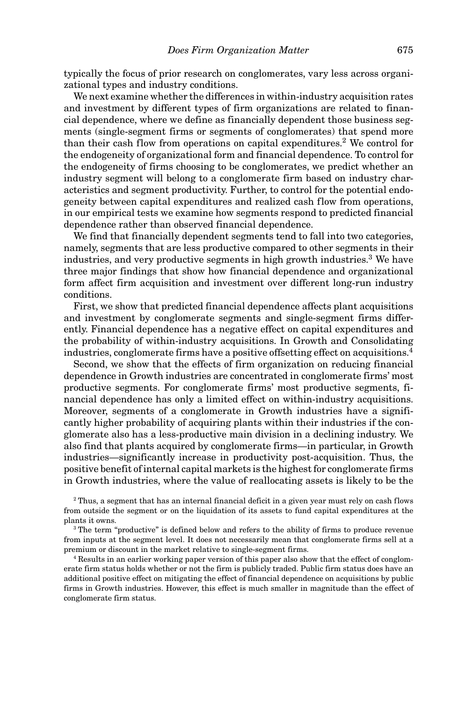typically the focus of prior research on conglomerates, vary less across organizational types and industry conditions.

We next examine whether the differences in within-industry acquisition rates and investment by different types of firm organizations are related to financial dependence, where we define as financially dependent those business segments (single-segment firms or segments of conglomerates) that spend more than their cash flow from operations on capital expenditures.<sup>2</sup> We control for the endogeneity of organizational form and financial dependence. To control for the endogeneity of firms choosing to be conglomerates, we predict whether an industry segment will belong to a conglomerate firm based on industry characteristics and segment productivity. Further, to control for the potential endogeneity between capital expenditures and realized cash flow from operations, in our empirical tests we examine how segments respond to predicted financial dependence rather than observed financial dependence.

We find that financially dependent segments tend to fall into two categories, namely, segments that are less productive compared to other segments in their industries, and very productive segments in high growth industries.<sup>3</sup> We have three major findings that show how financial dependence and organizational form affect firm acquisition and investment over different long-run industry conditions.

First, we show that predicted financial dependence affects plant acquisitions and investment by conglomerate segments and single-segment firms differently. Financial dependence has a negative effect on capital expenditures and the probability of within-industry acquisitions. In Growth and Consolidating industries, conglomerate firms have a positive offsetting effect on acquisitions.<sup>4</sup>

Second, we show that the effects of firm organization on reducing financial dependence in Growth industries are concentrated in conglomerate firms' most productive segments. For conglomerate firms' most productive segments, financial dependence has only a limited effect on within-industry acquisitions. Moreover, segments of a conglomerate in Growth industries have a significantly higher probability of acquiring plants within their industries if the conglomerate also has a less-productive main division in a declining industry. We also find that plants acquired by conglomerate firms—in particular, in Growth industries—significantly increase in productivity post-acquisition. Thus, the positive benefit of internal capital markets is the highest for conglomerate firms in Growth industries, where the value of reallocating assets is likely to be the

<sup>2</sup> Thus, a segment that has an internal financial deficit in a given year must rely on cash flows from outside the segment or on the liquidation of its assets to fund capital expenditures at the plants it owns.

<sup>3</sup> The term "productive" is defined below and refers to the ability of firms to produce revenue from inputs at the segment level. It does not necessarily mean that conglomerate firms sell at a premium or discount in the market relative to single-segment firms.

<sup>4</sup> Results in an earlier working paper version of this paper also show that the effect of conglomerate firm status holds whether or not the firm is publicly traded. Public firm status does have an additional positive effect on mitigating the effect of financial dependence on acquisitions by public firms in Growth industries. However, this effect is much smaller in magnitude than the effect of conglomerate firm status.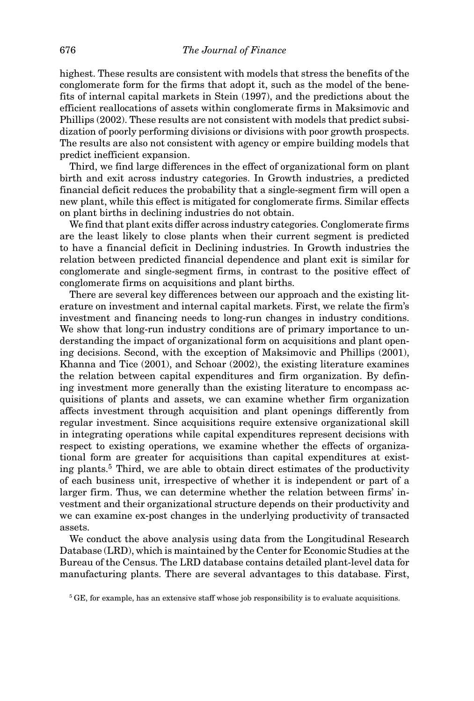highest. These results are consistent with models that stress the benefits of the conglomerate form for the firms that adopt it, such as the model of the benefits of internal capital markets in Stein (1997), and the predictions about the efficient reallocations of assets within conglomerate firms in Maksimovic and Phillips (2002). These results are not consistent with models that predict subsidization of poorly performing divisions or divisions with poor growth prospects. The results are also not consistent with agency or empire building models that predict inefficient expansion.

Third, we find large differences in the effect of organizational form on plant birth and exit across industry categories. In Growth industries, a predicted financial deficit reduces the probability that a single-segment firm will open a new plant, while this effect is mitigated for conglomerate firms. Similar effects on plant births in declining industries do not obtain.

We find that plant exits differ across industry categories. Conglomerate firms are the least likely to close plants when their current segment is predicted to have a financial deficit in Declining industries. In Growth industries the relation between predicted financial dependence and plant exit is similar for conglomerate and single-segment firms, in contrast to the positive effect of conglomerate firms on acquisitions and plant births.

There are several key differences between our approach and the existing literature on investment and internal capital markets. First, we relate the firm's investment and financing needs to long-run changes in industry conditions. We show that long-run industry conditions are of primary importance to understanding the impact of organizational form on acquisitions and plant opening decisions. Second, with the exception of Maksimovic and Phillips (2001), Khanna and Tice (2001), and Schoar (2002), the existing literature examines the relation between capital expenditures and firm organization. By defining investment more generally than the existing literature to encompass acquisitions of plants and assets, we can examine whether firm organization affects investment through acquisition and plant openings differently from regular investment. Since acquisitions require extensive organizational skill in integrating operations while capital expenditures represent decisions with respect to existing operations, we examine whether the effects of organizational form are greater for acquisitions than capital expenditures at existing plants.<sup>5</sup> Third, we are able to obtain direct estimates of the productivity of each business unit, irrespective of whether it is independent or part of a larger firm. Thus, we can determine whether the relation between firms' investment and their organizational structure depends on their productivity and we can examine ex-post changes in the underlying productivity of transacted assets.

We conduct the above analysis using data from the Longitudinal Research Database (LRD), which is maintained by the Center for Economic Studies at the Bureau of the Census. The LRD database contains detailed plant-level data for manufacturing plants. There are several advantages to this database. First,

 $5$  GE, for example, has an extensive staff whose job responsibility is to evaluate acquisitions.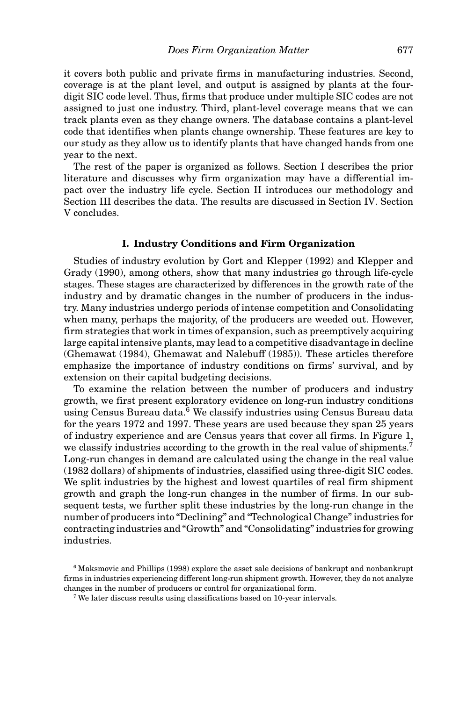it covers both public and private firms in manufacturing industries. Second, coverage is at the plant level, and output is assigned by plants at the fourdigit SIC code level. Thus, firms that produce under multiple SIC codes are not assigned to just one industry. Third, plant-level coverage means that we can track plants even as they change owners. The database contains a plant-level code that identifies when plants change ownership. These features are key to our study as they allow us to identify plants that have changed hands from one year to the next.

The rest of the paper is organized as follows. Section I describes the prior literature and discusses why firm organization may have a differential impact over the industry life cycle. Section II introduces our methodology and Section III describes the data. The results are discussed in Section IV. Section V concludes.

### **I. Industry Conditions and Firm Organization**

Studies of industry evolution by Gort and Klepper (1992) and Klepper and Grady (1990), among others, show that many industries go through life-cycle stages. These stages are characterized by differences in the growth rate of the industry and by dramatic changes in the number of producers in the industry. Many industries undergo periods of intense competition and Consolidating when many, perhaps the majority, of the producers are weeded out. However, firm strategies that work in times of expansion, such as preemptively acquiring large capital intensive plants, may lead to a competitive disadvantage in decline (Ghemawat (1984), Ghemawat and Nalebuff (1985)). These articles therefore emphasize the importance of industry conditions on firms' survival, and by extension on their capital budgeting decisions.

To examine the relation between the number of producers and industry growth, we first present exploratory evidence on long-run industry conditions using Census Bureau data.<sup>6</sup> We classify industries using Census Bureau data for the years 1972 and 1997. These years are used because they span 25 years of industry experience and are Census years that cover all firms. In Figure 1, we classify industries according to the growth in the real value of shipments.<sup>7</sup> Long-run changes in demand are calculated using the change in the real value (1982 dollars) of shipments of industries, classified using three-digit SIC codes. We split industries by the highest and lowest quartiles of real firm shipment growth and graph the long-run changes in the number of firms. In our subsequent tests, we further split these industries by the long-run change in the number of producers into "Declining" and "Technological Change"industries for contracting industries and "Growth" and "Consolidating"industries for growing industries.

<sup>6</sup> Maksmovic and Phillips (1998) explore the asset sale decisions of bankrupt and nonbankrupt firms in industries experiencing different long-run shipment growth. However, they do not analyze changes in the number of producers or control for organizational form.

<sup>7</sup> We later discuss results using classifications based on 10-year intervals.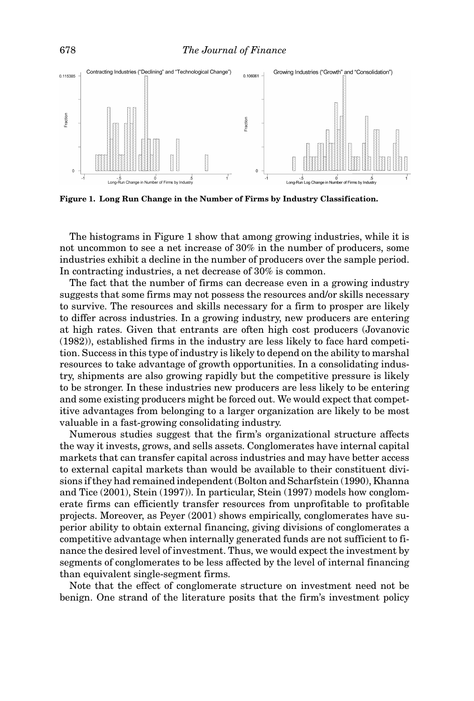

**Figure 1. Long Run Change in the Number of Firms by Industry Classification.**

The histograms in Figure 1 show that among growing industries, while it is not uncommon to see a net increase of 30% in the number of producers, some industries exhibit a decline in the number of producers over the sample period. In contracting industries, a net decrease of 30% is common.

The fact that the number of firms can decrease even in a growing industry suggests that some firms may not possess the resources and/or skills necessary to survive. The resources and skills necessary for a firm to prosper are likely to differ across industries. In a growing industry, new producers are entering at high rates. Given that entrants are often high cost producers (Jovanovic (1982)), established firms in the industry are less likely to face hard competition. Success in this type of industry is likely to depend on the ability to marshal resources to take advantage of growth opportunities. In a consolidating industry, shipments are also growing rapidly but the competitive pressure is likely to be stronger. In these industries new producers are less likely to be entering and some existing producers might be forced out. We would expect that competitive advantages from belonging to a larger organization are likely to be most valuable in a fast-growing consolidating industry.

Numerous studies suggest that the firm's organizational structure affects the way it invests, grows, and sells assets. Conglomerates have internal capital markets that can transfer capital across industries and may have better access to external capital markets than would be available to their constituent divisions if they had remained independent (Bolton and Scharfstein (1990), Khanna and Tice (2001), Stein (1997)). In particular, Stein (1997) models how conglomerate firms can efficiently transfer resources from unprofitable to profitable projects. Moreover, as Peyer (2001) shows empirically, conglomerates have superior ability to obtain external financing, giving divisions of conglomerates a competitive advantage when internally generated funds are not sufficient to finance the desired level of investment. Thus, we would expect the investment by segments of conglomerates to be less affected by the level of internal financing than equivalent single-segment firms.

Note that the effect of conglomerate structure on investment need not be benign. One strand of the literature posits that the firm's investment policy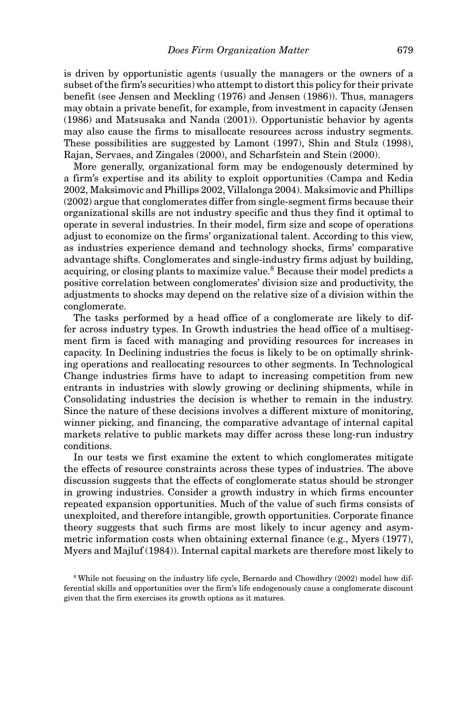is driven by opportunistic agents (usually the managers or the owners of a subset of the firm's securities) who attempt to distort this policy for their private benefit (see Jensen and Meckling (1976) and Jensen (1986)). Thus, managers may obtain a private benefit, for example, from investment in capacity (Jensen (1986) and Matsusaka and Nanda (2001)). Opportunistic behavior by agents may also cause the firms to misallocate resources across industry segments. These possibilities are suggested by Lamont (1997), Shin and Stulz (1998), Rajan, Servaes, and Zingales (2000), and Scharfstein and Stein (2000).

More generally, organizational form may be endogenously determined by a firm's expertise and its ability to exploit opportunities (Campa and Kedia 2002, Maksimovic and Phillips 2002, Villalonga 2004). Maksimovic and Phillips (2002) argue that conglomerates differ from single-segment firms because their organizational skills are not industry specific and thus they find it optimal to operate in several industries. In their model, firm size and scope of operations adjust to economize on the firms' organizational talent. According to this view, as industries experience demand and technology shocks, firms' comparative advantage shifts. Conglomerates and single-industry firms adjust by building, acquiring, or closing plants to maximize value.<sup>8</sup> Because their model predicts a positive correlation between conglomerates' division size and productivity, the adjustments to shocks may depend on the relative size of a division within the conglomerate.

The tasks performed by a head office of a conglomerate are likely to differ across industry types. In Growth industries the head office of a multisegment firm is faced with managing and providing resources for increases in capacity. In Declining industries the focus is likely to be on optimally shrinking operations and reallocating resources to other segments. In Technological Change industries firms have to adapt to increasing competition from new entrants in industries with slowly growing or declining shipments, while in Consolidating industries the decision is whether to remain in the industry. Since the nature of these decisions involves a different mixture of monitoring, winner picking, and financing, the comparative advantage of internal capital markets relative to public markets may differ across these long-run industry conditions.

In our tests we first examine the extent to which conglomerates mitigate the effects of resource constraints across these types of industries. The above discussion suggests that the effects of conglomerate status should be stronger in growing industries. Consider a growth industry in which firms encounter repeated expansion opportunities. Much of the value of such firms consists of unexploited, and therefore intangible, growth opportunities. Corporate finance theory suggests that such firms are most likely to incur agency and asymmetric information costs when obtaining external finance (e.g., Myers (1977), Myers and Majluf (1984)). Internal capital markets are therefore most likely to

<sup>&</sup>lt;sup>8</sup> While not focusing on the industry life cycle, Bernardo and Chowdhry (2002) model how differential skills and opportunities over the firm's life endogenously cause a conglomerate discount given that the firm exercises its growth options as it matures.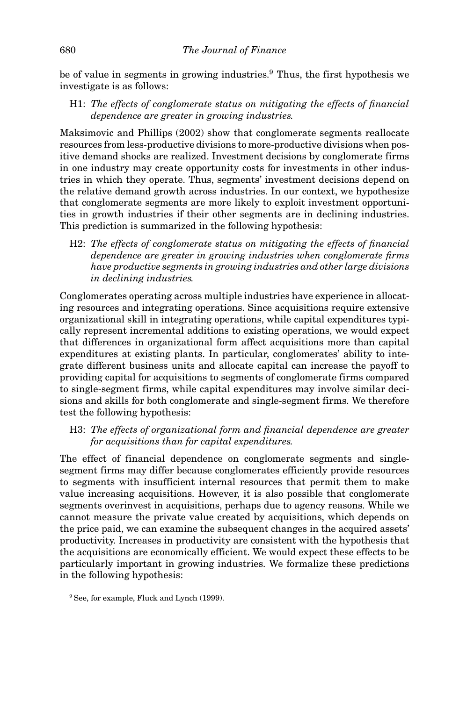be of value in segments in growing industries.<sup>9</sup> Thus, the first hypothesis we investigate is as follows:

H1: *The effects of conglomerate status on mitigating the effects of financial dependence are greater in growing industries.*

Maksimovic and Phillips (2002) show that conglomerate segments reallocate resources from less-productive divisions to more-productive divisions when positive demand shocks are realized. Investment decisions by conglomerate firms in one industry may create opportunity costs for investments in other industries in which they operate. Thus, segments' investment decisions depend on the relative demand growth across industries. In our context, we hypothesize that conglomerate segments are more likely to exploit investment opportunities in growth industries if their other segments are in declining industries. This prediction is summarized in the following hypothesis:

H2: *The effects of conglomerate status on mitigating the effects of financial dependence are greater in growing industries when conglomerate firms have productive segments in growing industries and other large divisions in declining industries.*

Conglomerates operating across multiple industries have experience in allocating resources and integrating operations. Since acquisitions require extensive organizational skill in integrating operations, while capital expenditures typically represent incremental additions to existing operations, we would expect that differences in organizational form affect acquisitions more than capital expenditures at existing plants. In particular, conglomerates' ability to integrate different business units and allocate capital can increase the payoff to providing capital for acquisitions to segments of conglomerate firms compared to single-segment firms, while capital expenditures may involve similar decisions and skills for both conglomerate and single-segment firms. We therefore test the following hypothesis:

H3: *The effects of organizational form and financial dependence are greater for acquisitions than for capital expenditures.*

The effect of financial dependence on conglomerate segments and singlesegment firms may differ because conglomerates efficiently provide resources to segments with insufficient internal resources that permit them to make value increasing acquisitions. However, it is also possible that conglomerate segments overinvest in acquisitions, perhaps due to agency reasons. While we cannot measure the private value created by acquisitions, which depends on the price paid, we can examine the subsequent changes in the acquired assets' productivity. Increases in productivity are consistent with the hypothesis that the acquisitions are economically efficient. We would expect these effects to be particularly important in growing industries. We formalize these predictions in the following hypothesis:

<sup>&</sup>lt;sup>9</sup> See, for example, Fluck and Lynch (1999).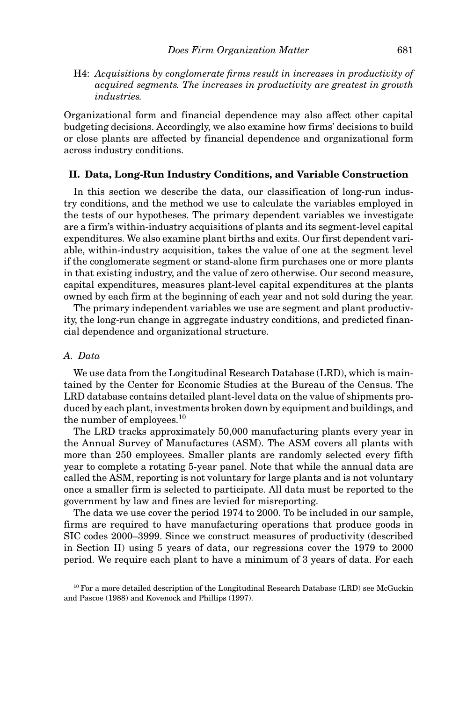H4: *Acquisitions by conglomerate firms result in increases in productivity of acquired segments. The increases in productivity are greatest in growth industries.*

Organizational form and financial dependence may also affect other capital budgeting decisions. Accordingly, we also examine how firms' decisions to build or close plants are affected by financial dependence and organizational form across industry conditions.

## **II. Data, Long-Run Industry Conditions, and Variable Construction**

In this section we describe the data, our classification of long-run industry conditions, and the method we use to calculate the variables employed in the tests of our hypotheses. The primary dependent variables we investigate are a firm's within-industry acquisitions of plants and its segment-level capital expenditures. We also examine plant births and exits. Our first dependent variable, within-industry acquisition, takes the value of one at the segment level if the conglomerate segment or stand-alone firm purchases one or more plants in that existing industry, and the value of zero otherwise. Our second measure, capital expenditures, measures plant-level capital expenditures at the plants owned by each firm at the beginning of each year and not sold during the year.

The primary independent variables we use are segment and plant productivity, the long-run change in aggregate industry conditions, and predicted financial dependence and organizational structure.

#### *A. Data*

We use data from the Longitudinal Research Database (LRD), which is maintained by the Center for Economic Studies at the Bureau of the Census. The LRD database contains detailed plant-level data on the value of shipments produced by each plant, investments broken down by equipment and buildings, and the number of employees.<sup>10</sup>

The LRD tracks approximately 50,000 manufacturing plants every year in the Annual Survey of Manufactures (ASM). The ASM covers all plants with more than 250 employees. Smaller plants are randomly selected every fifth year to complete a rotating 5-year panel. Note that while the annual data are called the ASM, reporting is not voluntary for large plants and is not voluntary once a smaller firm is selected to participate. All data must be reported to the government by law and fines are levied for misreporting.

The data we use cover the period 1974 to 2000. To be included in our sample, firms are required to have manufacturing operations that produce goods in SIC codes 2000–3999. Since we construct measures of productivity (described in Section II) using 5 years of data, our regressions cover the 1979 to 2000 period. We require each plant to have a minimum of 3 years of data. For each

<sup>10</sup> For a more detailed description of the Longitudinal Research Database (LRD) see McGuckin and Pascoe (1988) and Kovenock and Phillips (1997).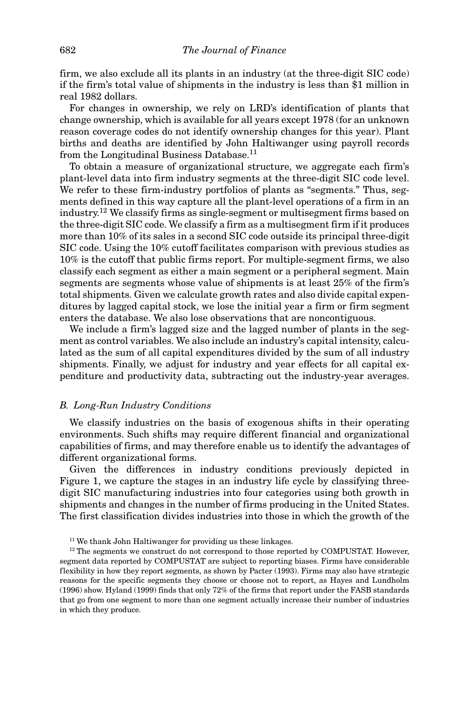firm, we also exclude all its plants in an industry (at the three-digit SIC code) if the firm's total value of shipments in the industry is less than \$1 million in real 1982 dollars.

For changes in ownership, we rely on LRD's identification of plants that change ownership, which is available for all years except 1978 (for an unknown reason coverage codes do not identify ownership changes for this year). Plant births and deaths are identified by John Haltiwanger using payroll records from the Longitudinal Business Database.<sup>11</sup>

To obtain a measure of organizational structure, we aggregate each firm's plant-level data into firm industry segments at the three-digit SIC code level. We refer to these firm-industry portfolios of plants as "segments." Thus, segments defined in this way capture all the plant-level operations of a firm in an industry.<sup>12</sup> We classify firms as single-segment or multisegment firms based on the three-digit SIC code. We classify a firm as a multisegment firm if it produces more than 10% of its sales in a second SIC code outside its principal three-digit SIC code. Using the 10% cutoff facilitates comparison with previous studies as 10% is the cutoff that public firms report. For multiple-segment firms, we also classify each segment as either a main segment or a peripheral segment. Main segments are segments whose value of shipments is at least 25% of the firm's total shipments. Given we calculate growth rates and also divide capital expenditures by lagged capital stock, we lose the initial year a firm or firm segment enters the database. We also lose observations that are noncontiguous.

We include a firm's lagged size and the lagged number of plants in the segment as control variables. We also include an industry's capital intensity, calculated as the sum of all capital expenditures divided by the sum of all industry shipments. Finally, we adjust for industry and year effects for all capital expenditure and productivity data, subtracting out the industry-year averages.

#### *B. Long-Run Industry Conditions*

We classify industries on the basis of exogenous shifts in their operating environments. Such shifts may require different financial and organizational capabilities of firms, and may therefore enable us to identify the advantages of different organizational forms.

Given the differences in industry conditions previously depicted in Figure 1, we capture the stages in an industry life cycle by classifying threedigit SIC manufacturing industries into four categories using both growth in shipments and changes in the number of firms producing in the United States. The first classification divides industries into those in which the growth of the

<sup>11</sup> We thank John Haltiwanger for providing us these linkages.

 $12$  The segments we construct do not correspond to those reported by COMPUSTAT. However, segment data reported by COMPUSTAT are subject to reporting biases. Firms have considerable flexibility in how they report segments, as shown by Pacter (1993). Firms may also have strategic reasons for the specific segments they choose or choose not to report, as Hayes and Lundholm (1996) show. Hyland (1999) finds that only 72% of the firms that report under the FASB standards that go from one segment to more than one segment actually increase their number of industries in which they produce.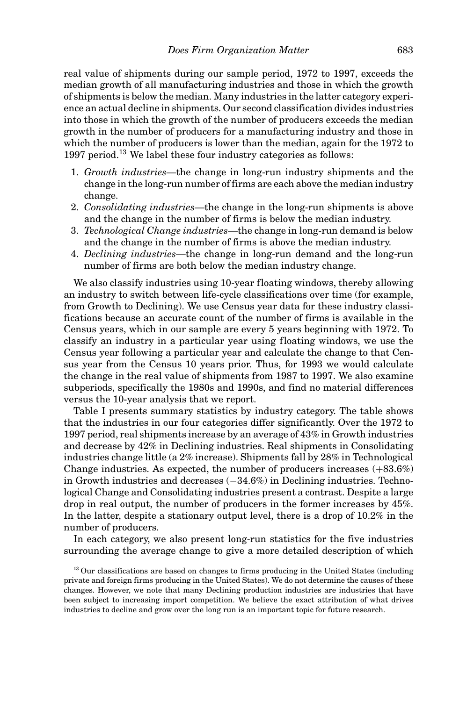real value of shipments during our sample period, 1972 to 1997, exceeds the median growth of all manufacturing industries and those in which the growth of shipments is below the median. Many industries in the latter category experience an actual decline in shipments. Our second classification divides industries into those in which the growth of the number of producers exceeds the median growth in the number of producers for a manufacturing industry and those in which the number of producers is lower than the median, again for the 1972 to 1997 period.13 We label these four industry categories as follows:

- 1. *Growth industries*—the change in long-run industry shipments and the change in the long-run number of firms are each above the median industry change.
- 2. *Consolidating industries*—the change in the long-run shipments is above and the change in the number of firms is below the median industry.
- 3. *Technological Change industries*—the change in long-run demand is below and the change in the number of firms is above the median industry.
- 4. *Declining industries*—the change in long-run demand and the long-run number of firms are both below the median industry change.

We also classify industries using 10-year floating windows, thereby allowing an industry to switch between life-cycle classifications over time (for example, from Growth to Declining). We use Census year data for these industry classifications because an accurate count of the number of firms is available in the Census years, which in our sample are every 5 years beginning with 1972. To classify an industry in a particular year using floating windows, we use the Census year following a particular year and calculate the change to that Census year from the Census 10 years prior. Thus, for 1993 we would calculate the change in the real value of shipments from 1987 to 1997. We also examine subperiods, specifically the 1980s and 1990s, and find no material differences versus the 10-year analysis that we report.

Table I presents summary statistics by industry category. The table shows that the industries in our four categories differ significantly. Over the 1972 to 1997 period, real shipments increase by an average of 43% in Growth industries and decrease by 42% in Declining industries. Real shipments in Consolidating industries change little (a 2% increase). Shipments fall by 28% in Technological Change industries. As expected, the number of producers increases  $(+83.6\%)$ in Growth industries and decreases (−34.6%) in Declining industries. Technological Change and Consolidating industries present a contrast. Despite a large drop in real output, the number of producers in the former increases by 45%. In the latter, despite a stationary output level, there is a drop of 10.2% in the number of producers.

In each category, we also present long-run statistics for the five industries surrounding the average change to give a more detailed description of which

 $13$  Our classifications are based on changes to firms producing in the United States (including private and foreign firms producing in the United States). We do not determine the causes of these changes. However, we note that many Declining production industries are industries that have been subject to increasing import competition. We believe the exact attribution of what drives industries to decline and grow over the long run is an important topic for future research.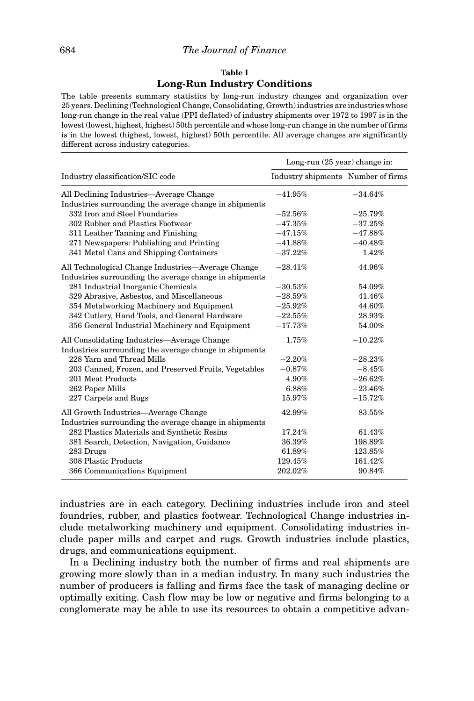# **Table I Long-Run Industry Conditions**

The table presents summary statistics by long-run industry changes and organization over 25 years. Declining (Technological Change, Consolidating, Growth) industries are industries whose long-run change in the real value (PPI deflated) of industry shipments over 1972 to 1997 is in the lowest (lowest, highest, highest) 50th percentile and whose long-run change in the number of firms is in the lowest (highest, lowest, highest) 50th percentile. All average changes are significantly different across industry categories.

|                                                        | Long-run $(25 \text{ year})$ change in: |           |  |
|--------------------------------------------------------|-----------------------------------------|-----------|--|
| Industry classification/SIC code                       | Industry shipments Number of firms      |           |  |
| All Declining Industries—Average Change                | $-41.95%$                               | $-34.64%$ |  |
| Industries surrounding the average change in shipments |                                         |           |  |
| 332 Iron and Steel Foundaries                          | $-52.56%$                               | $-25.79%$ |  |
| 302 Rubber and Plastics Footwear                       | $-47.35%$                               | $-37.25%$ |  |
| 311 Leather Tanning and Finishing                      | $-47.15%$                               | $-47.88%$ |  |
| 271 Newspapers: Publishing and Printing                | $-41.88%$                               | $-40.48%$ |  |
| 341 Metal Cans and Shipping Containers                 | $-37.22%$                               | 1.42%     |  |
| All Technological Change Industries—Average Change     | $-28.41%$                               | 44.96%    |  |
| Industries surrounding the average change in shipments |                                         |           |  |
| 281 Industrial Inorganic Chemicals                     | $-30.53%$                               | 54.09%    |  |
| 329 Abrasive, Asbestos, and Miscellaneous              | $-28.59%$                               | 41.46%    |  |
| 354 Metalworking Machinery and Equipment               | $-25.92%$                               | 44.60%    |  |
| 342 Cutlery, Hand Tools, and General Hardware          | $-22.55%$                               | 28.93%    |  |
| 356 General Industrial Machinery and Equipment         | $-17.73%$                               | 54.00%    |  |
| All Consolidating Industries—Average Change            | 1.75%                                   | $-10.22%$ |  |
| Industries surrounding the average change in shipments |                                         |           |  |
| 228 Yarn and Thread Mills                              | $-2.20%$                                | $-28.23%$ |  |
| 203 Canned, Frozen, and Preserved Fruits, Vegetables   | $-0.87%$                                | $-8.45%$  |  |
| 201 Meat Products                                      | 4.90%                                   | $-26.62%$ |  |
| 262 Paper Mills                                        | 6.88%                                   | $-23.46%$ |  |
| 227 Carpets and Rugs                                   | 15.97%                                  | $-15.72%$ |  |
| All Growth Industries—Average Change                   | 42.99%                                  | 83.55%    |  |
| Industries surrounding the average change in shipments |                                         |           |  |
| 282 Plastics Materials and Synthetic Resins            | 17.24%                                  | 61.43%    |  |
| 381 Search, Detection, Navigation, Guidance            | 36.39%                                  | 198.89%   |  |
| 283 Drugs                                              | 61.89%                                  | 123.85%   |  |
| 308 Plastic Products                                   | 129.45%                                 | 161.42%   |  |
| 366 Communications Equipment                           | 202.02%                                 | 90.84%    |  |

industries are in each category. Declining industries include iron and steel foundries, rubber, and plastics footwear. Technological Change industries include metalworking machinery and equipment. Consolidating industries include paper mills and carpet and rugs. Growth industries include plastics, drugs, and communications equipment.

In a Declining industry both the number of firms and real shipments are growing more slowly than in a median industry. In many such industries the number of producers is falling and firms face the task of managing decline or optimally exiting. Cash flow may be low or negative and firms belonging to a conglomerate may be able to use its resources to obtain a competitive advan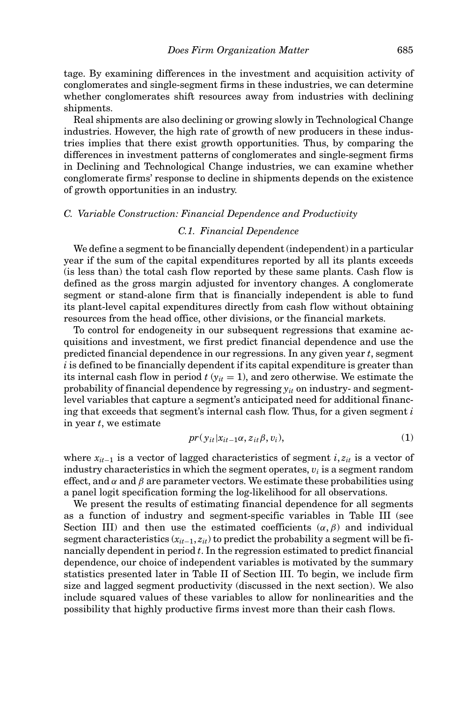tage. By examining differences in the investment and acquisition activity of conglomerates and single-segment firms in these industries, we can determine whether conglomerates shift resources away from industries with declining shipments.

Real shipments are also declining or growing slowly in Technological Change industries. However, the high rate of growth of new producers in these industries implies that there exist growth opportunities. Thus, by comparing the differences in investment patterns of conglomerates and single-segment firms in Declining and Technological Change industries, we can examine whether conglomerate firms' response to decline in shipments depends on the existence of growth opportunities in an industry.

## *C. Variable Construction: Financial Dependence and Productivity*

## *C.1. Financial Dependence*

We define a segment to be financially dependent (independent) in a particular year if the sum of the capital expenditures reported by all its plants exceeds (is less than) the total cash flow reported by these same plants. Cash flow is defined as the gross margin adjusted for inventory changes. A conglomerate segment or stand-alone firm that is financially independent is able to fund its plant-level capital expenditures directly from cash flow without obtaining resources from the head office, other divisions, or the financial markets.

To control for endogeneity in our subsequent regressions that examine acquisitions and investment, we first predict financial dependence and use the predicted financial dependence in our regressions. In any given year *t*, segment *i* is defined to be financially dependent if its capital expenditure is greater than its internal cash flow in period  $t (y_{it} = 1)$ , and zero otherwise. We estimate the probability of financial dependence by regressing  $y_{it}$  on industry- and segmentlevel variables that capture a segment's anticipated need for additional financing that exceeds that segment's internal cash flow. Thus, for a given segment *i* in year *t*, we estimate

$$
pr(y_{it}|x_{it-1}\alpha,z_{it}\beta,v_i), \qquad (1)
$$

where  $x_{it-1}$  is a vector of lagged characteristics of segment *i*,  $z_{it}$  is a vector of industry characteristics in which the segment operates,  $v_i$  is a segment random effect, and  $\alpha$  and  $\beta$  are parameter vectors. We estimate these probabilities using a panel logit specification forming the log-likelihood for all observations.

We present the results of estimating financial dependence for all segments as a function of industry and segment-specific variables in Table III (see Section III) and then use the estimated coefficients  $(\alpha, \beta)$  and individual segment characteristics  $(x_{it-1}, z_{it})$  to predict the probability a segment will be financially dependent in period *t*. In the regression estimated to predict financial dependence, our choice of independent variables is motivated by the summary statistics presented later in Table II of Section III. To begin, we include firm size and lagged segment productivity (discussed in the next section). We also include squared values of these variables to allow for nonlinearities and the possibility that highly productive firms invest more than their cash flows.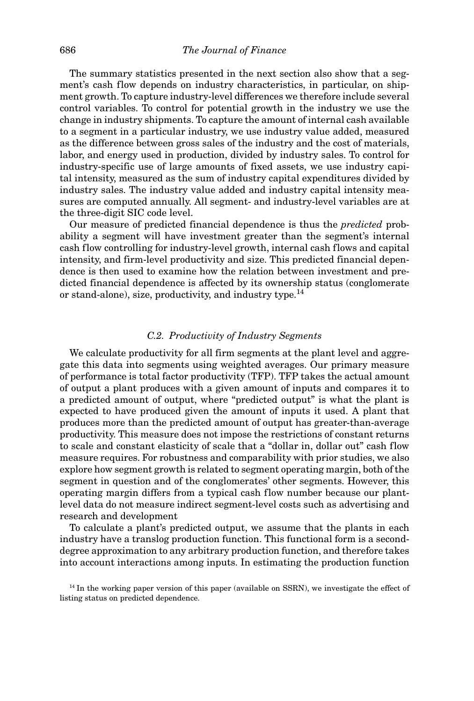The summary statistics presented in the next section also show that a segment's cash flow depends on industry characteristics, in particular, on shipment growth. To capture industry-level differences we therefore include several control variables. To control for potential growth in the industry we use the change in industry shipments. To capture the amount of internal cash available to a segment in a particular industry, we use industry value added, measured as the difference between gross sales of the industry and the cost of materials, labor, and energy used in production, divided by industry sales. To control for industry-specific use of large amounts of fixed assets, we use industry capital intensity, measured as the sum of industry capital expenditures divided by industry sales. The industry value added and industry capital intensity measures are computed annually. All segment- and industry-level variables are at the three-digit SIC code level.

Our measure of predicted financial dependence is thus the *predicted* probability a segment will have investment greater than the segment's internal cash flow controlling for industry-level growth, internal cash flows and capital intensity, and firm-level productivity and size. This predicted financial dependence is then used to examine how the relation between investment and predicted financial dependence is affected by its ownership status (conglomerate or stand-alone), size, productivity, and industry type.<sup>14</sup>

#### *C.2. Productivity of Industry Segments*

We calculate productivity for all firm segments at the plant level and aggregate this data into segments using weighted averages. Our primary measure of performance is total factor productivity (TFP). TFP takes the actual amount of output a plant produces with a given amount of inputs and compares it to a predicted amount of output, where "predicted output" is what the plant is expected to have produced given the amount of inputs it used. A plant that produces more than the predicted amount of output has greater-than-average productivity. This measure does not impose the restrictions of constant returns to scale and constant elasticity of scale that a "dollar in, dollar out" cash flow measure requires. For robustness and comparability with prior studies, we also explore how segment growth is related to segment operating margin, both of the segment in question and of the conglomerates' other segments. However, this operating margin differs from a typical cash flow number because our plantlevel data do not measure indirect segment-level costs such as advertising and research and development

To calculate a plant's predicted output, we assume that the plants in each industry have a translog production function. This functional form is a seconddegree approximation to any arbitrary production function, and therefore takes into account interactions among inputs. In estimating the production function

<sup>&</sup>lt;sup>14</sup> In the working paper version of this paper (available on SSRN), we investigate the effect of listing status on predicted dependence.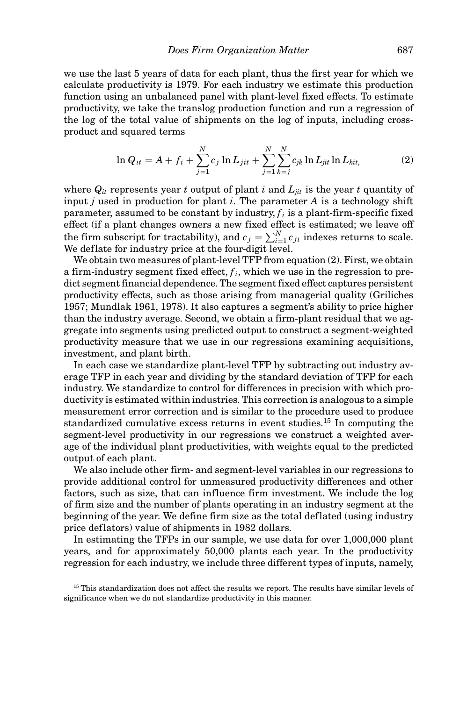we use the last 5 years of data for each plant, thus the first year for which we calculate productivity is 1979. For each industry we estimate this production function using an unbalanced panel with plant-level fixed effects. To estimate productivity, we take the translog production function and run a regression of the log of the total value of shipments on the log of inputs, including crossproduct and squared terms

$$
\ln Q_{it} = A + f_i + \sum_{j=1}^{N} c_j \ln L_{jit} + \sum_{j=1}^{N} \sum_{k=j}^{N} c_{jk} \ln L_{jit} \ln L_{kit}, \tag{2}
$$

where  $Q_{it}$  represents year *t* output of plant *i* and  $L_{jit}$  is the year *t* quantity of input *j* used in production for plant *i*. The parameter *A* is a technology shift parameter, assumed to be constant by industry,  $f_i$  is a plant-firm-specific fixed effect (if a plant changes owners a new fixed effect is estimated; we leave off the firm subscript for tractability), and  $c_j = \sum_{i=1}^{N} c_{ji}$  indexes returns to scale. We deflate for industry price at the four-digit level.

We obtain two measures of plant-level TFP from equation (2). First, we obtain a firm-industry segment fixed effect,  $f_i$ , which we use in the regression to predict segment financial dependence. The segment fixed effect captures persistent productivity effects, such as those arising from managerial quality (Griliches 1957; Mundlak 1961, 1978). It also captures a segment's ability to price higher than the industry average. Second, we obtain a firm-plant residual that we aggregate into segments using predicted output to construct a segment-weighted productivity measure that we use in our regressions examining acquisitions, investment, and plant birth.

In each case we standardize plant-level TFP by subtracting out industry average TFP in each year and dividing by the standard deviation of TFP for each industry. We standardize to control for differences in precision with which productivity is estimated within industries. This correction is analogous to a simple measurement error correction and is similar to the procedure used to produce standardized cumulative excess returns in event studies.<sup>15</sup> In computing the segment-level productivity in our regressions we construct a weighted average of the individual plant productivities, with weights equal to the predicted output of each plant.

We also include other firm- and segment-level variables in our regressions to provide additional control for unmeasured productivity differences and other factors, such as size, that can influence firm investment. We include the log of firm size and the number of plants operating in an industry segment at the beginning of the year. We define firm size as the total deflated (using industry price deflators) value of shipments in 1982 dollars.

In estimating the TFPs in our sample, we use data for over 1,000,000 plant years, and for approximately 50,000 plants each year. In the productivity regression for each industry, we include three different types of inputs, namely,

<sup>15</sup> This standardization does not affect the results we report. The results have similar levels of significance when we do not standardize productivity in this manner.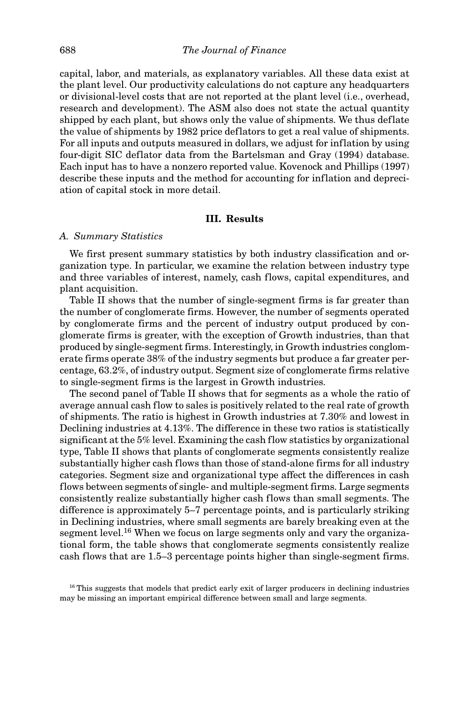capital, labor, and materials, as explanatory variables. All these data exist at the plant level. Our productivity calculations do not capture any headquarters or divisional-level costs that are not reported at the plant level (i.e., overhead, research and development). The ASM also does not state the actual quantity shipped by each plant, but shows only the value of shipments. We thus deflate the value of shipments by 1982 price deflators to get a real value of shipments. For all inputs and outputs measured in dollars, we adjust for inflation by using four-digit SIC deflator data from the Bartelsman and Gray (1994) database. Each input has to have a nonzero reported value. Kovenock and Phillips (1997) describe these inputs and the method for accounting for inflation and depreciation of capital stock in more detail.

# **III. Results**

#### *A. Summary Statistics*

We first present summary statistics by both industry classification and organization type. In particular, we examine the relation between industry type and three variables of interest, namely, cash flows, capital expenditures, and plant acquisition.

Table II shows that the number of single-segment firms is far greater than the number of conglomerate firms. However, the number of segments operated by conglomerate firms and the percent of industry output produced by conglomerate firms is greater, with the exception of Growth industries, than that produced by single-segment firms. Interestingly, in Growth industries conglomerate firms operate 38% of the industry segments but produce a far greater percentage, 63.2%, of industry output. Segment size of conglomerate firms relative to single-segment firms is the largest in Growth industries.

The second panel of Table II shows that for segments as a whole the ratio of average annual cash flow to sales is positively related to the real rate of growth of shipments. The ratio is highest in Growth industries at 7.30% and lowest in Declining industries at 4.13%. The difference in these two ratios is statistically significant at the 5% level. Examining the cash flow statistics by organizational type, Table II shows that plants of conglomerate segments consistently realize substantially higher cash flows than those of stand-alone firms for all industry categories. Segment size and organizational type affect the differences in cash flows between segments of single- and multiple-segment firms. Large segments consistently realize substantially higher cash flows than small segments. The difference is approximately 5–7 percentage points, and is particularly striking in Declining industries, where small segments are barely breaking even at the segment level.<sup>16</sup> When we focus on large segments only and vary the organizational form, the table shows that conglomerate segments consistently realize cash flows that are 1.5–3 percentage points higher than single-segment firms.

<sup>16</sup> This suggests that models that predict early exit of larger producers in declining industries may be missing an important empirical difference between small and large segments.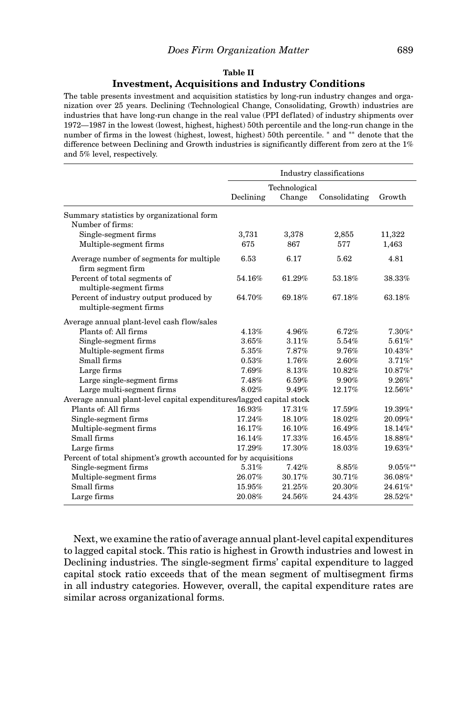#### **Table II**

#### **Investment, Acquisitions and Industry Conditions**

The table presents investment and acquisition statistics by long-run industry changes and organization over 25 years. Declining (Technological Change, Consolidating, Growth) industries are industries that have long-run change in the real value (PPI deflated) of industry shipments over 1972—1987 in the lowest (lowest, highest, highest) 50th percentile and the long-run change in the number of firms in the lowest (highest, lowest, highest) 50th percentile. ∗ and ∗∗ denote that the difference between Declining and Growth industries is significantly different from zero at the 1% and 5% level, respectively.

|                                                                      | Industry classifications |        |               |             |  |  |
|----------------------------------------------------------------------|--------------------------|--------|---------------|-------------|--|--|
|                                                                      | Technological            |        |               |             |  |  |
|                                                                      | Declining                | Change | Consolidating | Growth      |  |  |
| Summary statistics by organizational form<br>Number of firms:        |                          |        |               |             |  |  |
| Single-segment firms                                                 | 3,731                    | 3,378  | 2,855         | 11,322      |  |  |
| Multiple-segment firms                                               | 675                      | 867    | 577           | 1,463       |  |  |
| Average number of segments for multiple<br>firm segment firm         | 6.53                     | 6.17   | 5.62          | 4.81        |  |  |
| Percent of total segments of<br>multiple-segment firms               | 54.16%                   | 61.29% | 53.18%        | 38.33%      |  |  |
| Percent of industry output produced by<br>multiple-segment firms     | 64.70%                   | 69.18% | 67.18%        | 63.18%      |  |  |
| Average annual plant-level cash flow/sales                           |                          |        |               |             |  |  |
| Plants of: All firms                                                 | 4.13%                    | 4.96%  | 6.72%         | $7.30\%$ *  |  |  |
| Single-segment firms                                                 | 3.65%                    | 3.11%  | 5.54%         | $5.61\%$    |  |  |
| Multiple-segment firms                                               | 5.35%                    | 7.87%  | 9.76%         | $10.43\%$ * |  |  |
| Small firms                                                          | 0.53%                    | 1.76%  | 2.60%         | $3.71\%$ *  |  |  |
| Large firms                                                          | 7.69%                    | 8.13%  | 10.82%        | 10.87%*     |  |  |
| Large single-segment firms                                           | 7.48%                    | 6.59%  | 9.90%         | $9.26\%$ *  |  |  |
| Large multi-segment firms                                            | 8.02%                    | 9.49%  | 12.17%        | 12.56%*     |  |  |
| Average annual plant-level capital expenditures/lagged capital stock |                          |        |               |             |  |  |
| Plants of: All firms                                                 | 16.93%                   | 17.31% | 17.59%        | 19.39%*     |  |  |
| Single-segment firms                                                 | 17.24%                   | 18.10% | 18.02%        | 20.09%*     |  |  |
| Multiple-segment firms                                               | 16.17%                   | 16.10% | 16.49%        | 18.14%*     |  |  |
| Small firms                                                          | 16.14%                   | 17.33% | 16.45%        | 18.88%*     |  |  |
| Large firms                                                          | 17.29%                   | 17.30% | 18.03%        | 19.63%*     |  |  |
| Percent of total shipment's growth accounted for by acquisitions     |                          |        |               |             |  |  |
| Single-segment firms                                                 | 5.31%                    | 7.42%  | 8.85%         | $9.05\%**$  |  |  |
| Multiple-segment firms                                               | 26.07%                   | 30.17% | 30.71%        | 36.08%*     |  |  |
| Small firms                                                          | 15.95%                   | 21.25% | 20.30%        | 24.61%*     |  |  |
| Large firms                                                          | 20.08%                   | 24.56% | 24.43%        | 28.52%*     |  |  |

Next, we examine the ratio of average annual plant-level capital expenditures to lagged capital stock. This ratio is highest in Growth industries and lowest in Declining industries. The single-segment firms' capital expenditure to lagged capital stock ratio exceeds that of the mean segment of multisegment firms in all industry categories. However, overall, the capital expenditure rates are similar across organizational forms.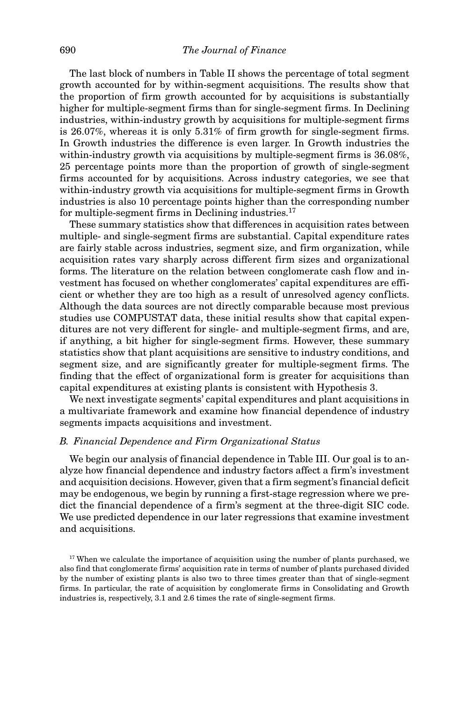The last block of numbers in Table II shows the percentage of total segment growth accounted for by within-segment acquisitions. The results show that the proportion of firm growth accounted for by acquisitions is substantially higher for multiple-segment firms than for single-segment firms. In Declining industries, within-industry growth by acquisitions for multiple-segment firms is 26.07%, whereas it is only 5.31% of firm growth for single-segment firms. In Growth industries the difference is even larger. In Growth industries the within-industry growth via acquisitions by multiple-segment firms is 36.08%, 25 percentage points more than the proportion of growth of single-segment firms accounted for by acquisitions. Across industry categories, we see that within-industry growth via acquisitions for multiple-segment firms in Growth industries is also 10 percentage points higher than the corresponding number for multiple-segment firms in Declining industries.<sup>17</sup>

These summary statistics show that differences in acquisition rates between multiple- and single-segment firms are substantial. Capital expenditure rates are fairly stable across industries, segment size, and firm organization, while acquisition rates vary sharply across different firm sizes and organizational forms. The literature on the relation between conglomerate cash flow and investment has focused on whether conglomerates' capital expenditures are efficient or whether they are too high as a result of unresolved agency conflicts. Although the data sources are not directly comparable because most previous studies use COMPUSTAT data, these initial results show that capital expenditures are not very different for single- and multiple-segment firms, and are, if anything, a bit higher for single-segment firms. However, these summary statistics show that plant acquisitions are sensitive to industry conditions, and segment size, and are significantly greater for multiple-segment firms. The finding that the effect of organizational form is greater for acquisitions than capital expenditures at existing plants is consistent with Hypothesis 3.

We next investigate segments' capital expenditures and plant acquisitions in a multivariate framework and examine how financial dependence of industry segments impacts acquisitions and investment.

## *B. Financial Dependence and Firm Organizational Status*

We begin our analysis of financial dependence in Table III. Our goal is to analyze how financial dependence and industry factors affect a firm's investment and acquisition decisions. However, given that a firm segment's financial deficit may be endogenous, we begin by running a first-stage regression where we predict the financial dependence of a firm's segment at the three-digit SIC code. We use predicted dependence in our later regressions that examine investment and acquisitions.

 $17$  When we calculate the importance of acquisition using the number of plants purchased, we also find that conglomerate firms' acquisition rate in terms of number of plants purchased divided by the number of existing plants is also two to three times greater than that of single-segment firms. In particular, the rate of acquisition by conglomerate firms in Consolidating and Growth industries is, respectively, 3.1 and 2.6 times the rate of single-segment firms.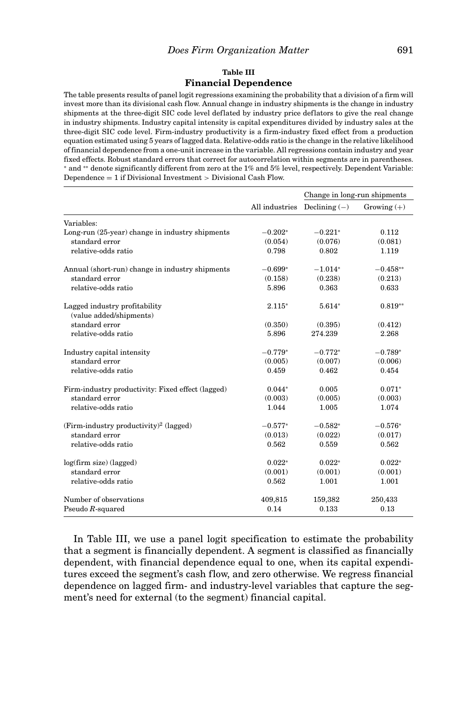#### **Table III Financial Dependence**

The table presents results of panel logit regressions examining the probability that a division of a firm will invest more than its divisional cash flow. Annual change in industry shipments is the change in industry shipments at the three-digit SIC code level deflated by industry price deflators to give the real change in industry shipments. Industry capital intensity is capital expenditures divided by industry sales at the three-digit SIC code level. Firm-industry productivity is a firm-industry fixed effect from a production equation estimated using 5 years of lagged data. Relative-odds ratio is the change in the relative likelihood of financial dependence from a one-unit increase in the variable. All regressions contain industry and year fixed effects. Robust standard errors that correct for autocorrelation within segments are in parentheses. <sup>∗</sup> and ∗∗ denote significantly different from zero at the 1% and 5% level, respectively. Dependent Variable:  $Dependence = 1$  if Divisional Investment  $>$  Divisional Cash Flow.

|                                                          |                | Change in long-run shipments |            |
|----------------------------------------------------------|----------------|------------------------------|------------|
|                                                          | All industries | Declining $(-)$              | $Group(+)$ |
| Variables:                                               |                |                              |            |
| Long-run (25-year) change in industry shipments          | $-0.202*$      | $-0.221*$                    | 0.112      |
| standard error                                           | (0.054)        | (0.076)                      | (0.081)    |
| relative-odds ratio                                      | 0.798          | 0.802                        | 1.119      |
| Annual (short-run) change in industry shipments          | $-0.699*$      | $-1.014*$                    | $-0.458**$ |
| standard error                                           | (0.158)        | (0.238)                      | (0.213)    |
| relative-odds ratio                                      | 5.896          | 0.363                        | 0.633      |
| Lagged industry profitability<br>(value added/shipments) | $2.115*$       | $5.614*$                     | $0.819**$  |
| standard error                                           | (0.350)        | (0.395)                      | (0.412)    |
| relative-odds ratio                                      | 5.896          | 274.239                      | 2.268      |
| Industry capital intensity                               | $-0.779*$      | $-0.772*$                    | $-0.789*$  |
| standard error                                           | (0.005)        | (0.007)                      | (0.006)    |
| relative-odds ratio                                      | 0.459          | 0.462                        | 0.454      |
| Firm-industry productivity: Fixed effect (lagged)        | $0.044*$       | 0.005                        | $0.071*$   |
| standard error                                           | (0.003)        | (0.005)                      | (0.003)    |
| relative-odds ratio                                      | 1.044          | 1.005                        | 1.074      |
| (Firm-industry productivity) <sup>2</sup> (lagged)       | $-0.577*$      | $-0.582*$                    | $-0.576*$  |
| standard error                                           | (0.013)        | (0.022)                      | (0.017)    |
| relative-odds ratio                                      | 0.562          | 0.559                        | 0.562      |
| $log(firm size)$ (lagged)                                | $0.022*$       | $0.022*$                     | $0.022*$   |
| standard error                                           | (0.001)        | (0.001)                      | (0.001)    |
| relative-odds ratio                                      | 0.562          | 1.001                        | 1.001      |
| Number of observations                                   | 409,815        | 159,382                      | 250,433    |
| Pseudo $R$ -squared                                      | 0.14           | 0.133                        | 0.13       |

In Table III, we use a panel logit specification to estimate the probability that a segment is financially dependent. A segment is classified as financially dependent, with financial dependence equal to one, when its capital expenditures exceed the segment's cash flow, and zero otherwise. We regress financial dependence on lagged firm- and industry-level variables that capture the segment's need for external (to the segment) financial capital.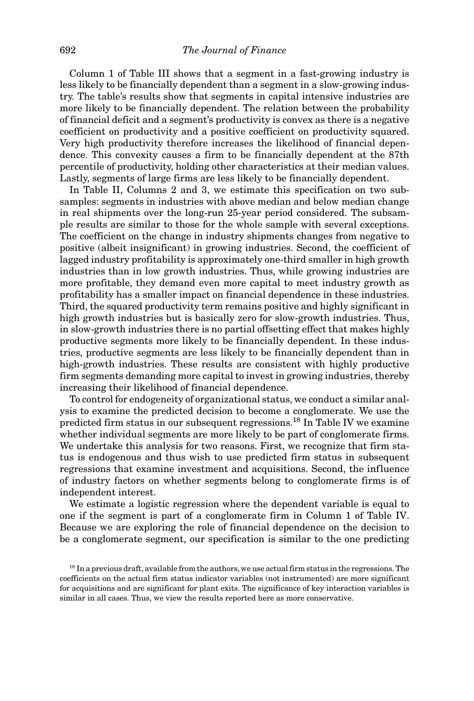Column 1 of Table III shows that a segment in a fast-growing industry is less likely to be financially dependent than a segment in a slow-growing industry. The table's results show that segments in capital intensive industries are more likely to be financially dependent. The relation between the probability of financial deficit and a segment's productivity is convex as there is a negative coefficient on productivity and a positive coefficient on productivity squared. Very high productivity therefore increases the likelihood of financial dependence. This convexity causes a firm to be financially dependent at the 87th percentile of productivity, holding other characteristics at their median values. Lastly, segments of large firms are less likely to be financially dependent.

In Table II, Columns 2 and 3, we estimate this specification on two subsamples: segments in industries with above median and below median change in real shipments over the long-run 25-year period considered. The subsample results are similar to those for the whole sample with several exceptions. The coefficient on the change in industry shipments changes from negative to positive (albeit insignificant) in growing industries. Second, the coefficient of lagged industry profitability is approximately one-third smaller in high growth industries than in low growth industries. Thus, while growing industries are more profitable, they demand even more capital to meet industry growth as profitability has a smaller impact on financial dependence in these industries. Third, the squared productivity term remains positive and highly significant in high growth industries but is basically zero for slow-growth industries. Thus, in slow-growth industries there is no partial offsetting effect that makes highly productive segments more likely to be financially dependent. In these industries, productive segments are less likely to be financially dependent than in high-growth industries. These results are consistent with highly productive firm segments demanding more capital to invest in growing industries, thereby increasing their likelihood of financial dependence.

To control for endogeneity of organizational status, we conduct a similar analysis to examine the predicted decision to become a conglomerate. We use the predicted firm status in our subsequent regressions.<sup>18</sup> In Table IV we examine whether individual segments are more likely to be part of conglomerate firms. We undertake this analysis for two reasons. First, we recognize that firm status is endogenous and thus wish to use predicted firm status in subsequent regressions that examine investment and acquisitions. Second, the influence of industry factors on whether segments belong to conglomerate firms is of independent interest.

We estimate a logistic regression where the dependent variable is equal to one if the segment is part of a conglomerate firm in Column 1 of Table IV. Because we are exploring the role of financial dependence on the decision to be a conglomerate segment, our specification is similar to the one predicting

<sup>&</sup>lt;sup>18</sup> In a previous draft, available from the authors, we use actual firm status in the regressions. The coefficients on the actual firm status indicator variables (not instrumented) are more significant for acquisitions and are significant for plant exits. The significance of key interaction variables is similar in all cases. Thus, we view the results reported here as more conservative.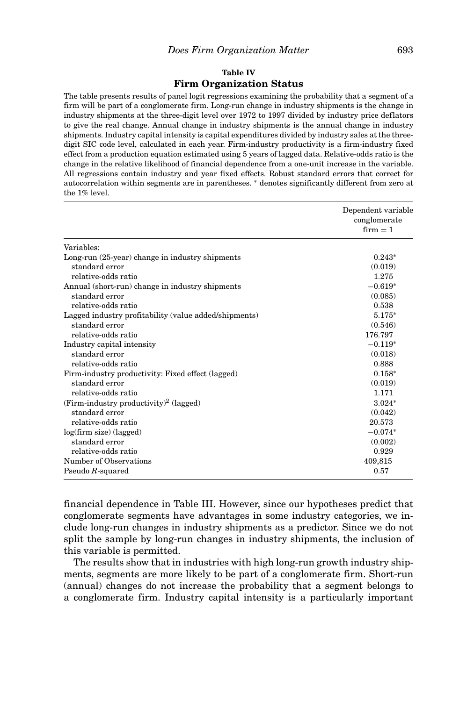# **Table IV Firm Organization Status**

The table presents results of panel logit regressions examining the probability that a segment of a firm will be part of a conglomerate firm. Long-run change in industry shipments is the change in industry shipments at the three-digit level over 1972 to 1997 divided by industry price deflators to give the real change. Annual change in industry shipments is the annual change in industry shipments. Industry capital intensity is capital expenditures divided by industry sales at the threedigit SIC code level, calculated in each year. Firm-industry productivity is a firm-industry fixed effect from a production equation estimated using 5 years of lagged data. Relative-odds ratio is the change in the relative likelihood of financial dependence from a one-unit increase in the variable. All regressions contain industry and year fixed effects. Robust standard errors that correct for autocorrelation within segments are in parentheses. ∗ denotes significantly different from zero at the 1% level.

|                                                       | Dependent variable<br>conglomerate<br>$firm = 1$ |
|-------------------------------------------------------|--------------------------------------------------|
| Variables:                                            |                                                  |
| Long-run (25-year) change in industry shipments       | $0.243*$                                         |
| standard error                                        | (0.019)                                          |
| relative-odds ratio                                   | 1.275                                            |
| Annual (short-run) change in industry shipments       | $-0.619*$                                        |
| standard error                                        | (0.085)                                          |
| relative-odds ratio                                   | 0.538                                            |
| Lagged industry profitability (value added/shipments) | $5.175*$                                         |
| standard error                                        | (0.546)                                          |
| relative-odds ratio                                   | 176.797                                          |
| Industry capital intensity                            | $-0.119*$                                        |
| standard error                                        | (0.018)                                          |
| relative-odds ratio                                   | 0.888                                            |
| Firm-industry productivity: Fixed effect (lagged)     | $0.158*$                                         |
| standard error                                        | (0.019)                                          |
| relative-odds ratio                                   | 1.171                                            |
| (Firm-industry productivity) <sup>2</sup> (lagged)    | $3.024*$                                         |
| standard error                                        | (0.042)                                          |
| relative-odds ratio                                   | 20.573                                           |
| $log(firm size)$ (lagged)                             | $-0.074*$                                        |
| standard error                                        | (0.002)                                          |
| relative-odds ratio                                   | 0.929                                            |
| Number of Observations                                | 409,815                                          |
| Pseudo $R$ -squared                                   | 0.57                                             |

financial dependence in Table III. However, since our hypotheses predict that conglomerate segments have advantages in some industry categories, we include long-run changes in industry shipments as a predictor. Since we do not split the sample by long-run changes in industry shipments, the inclusion of this variable is permitted.

The results show that in industries with high long-run growth industry shipments, segments are more likely to be part of a conglomerate firm. Short-run (annual) changes do not increase the probability that a segment belongs to a conglomerate firm. Industry capital intensity is a particularly important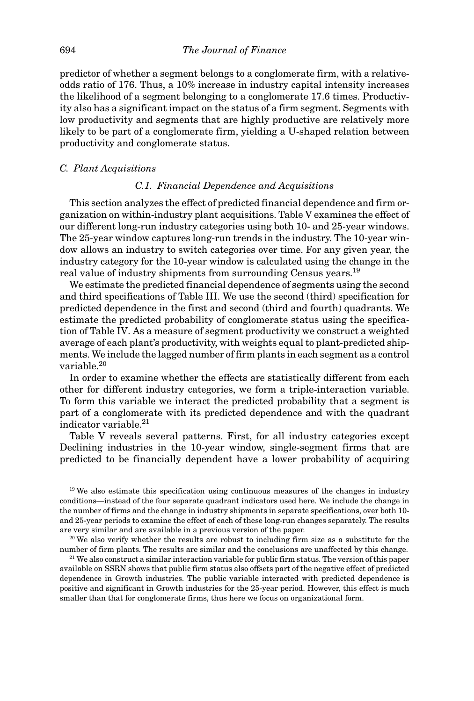predictor of whether a segment belongs to a conglomerate firm, with a relativeodds ratio of 176. Thus, a 10% increase in industry capital intensity increases the likelihood of a segment belonging to a conglomerate 17.6 times. Productivity also has a significant impact on the status of a firm segment. Segments with low productivity and segments that are highly productive are relatively more likely to be part of a conglomerate firm, yielding a U-shaped relation between productivity and conglomerate status.

### *C. Plant Acquisitions*

## *C.1. Financial Dependence and Acquisitions*

This section analyzes the effect of predicted financial dependence and firm organization on within-industry plant acquisitions. Table V examines the effect of our different long-run industry categories using both 10- and 25-year windows. The 25-year window captures long-run trends in the industry. The 10-year window allows an industry to switch categories over time. For any given year, the industry category for the 10-year window is calculated using the change in the real value of industry shipments from surrounding Census years.<sup>19</sup>

We estimate the predicted financial dependence of segments using the second and third specifications of Table III. We use the second (third) specification for predicted dependence in the first and second (third and fourth) quadrants. We estimate the predicted probability of conglomerate status using the specification of Table IV. As a measure of segment productivity we construct a weighted average of each plant's productivity, with weights equal to plant-predicted shipments. We include the lagged number of firm plants in each segment as a control variable.<sup>20</sup>

In order to examine whether the effects are statistically different from each other for different industry categories, we form a triple-interaction variable. To form this variable we interact the predicted probability that a segment is part of a conglomerate with its predicted dependence and with the quadrant indicator variable.<sup>21</sup>

Table V reveals several patterns. First, for all industry categories except Declining industries in the 10-year window, single-segment firms that are predicted to be financially dependent have a lower probability of acquiring

<sup>19</sup> We also estimate this specification using continuous measures of the changes in industry conditions—instead of the four separate quadrant indicators used here. We include the change in the number of firms and the change in industry shipments in separate specifications, over both 10 and 25-year periods to examine the effect of each of these long-run changes separately. The results are very similar and are available in a previous version of the paper.

 $20$  We also verify whether the results are robust to including firm size as a substitute for the number of firm plants. The results are similar and the conclusions are unaffected by this change.

 $21$  We also construct a similar interaction variable for public firm status. The version of this paper available on SSRN shows that public firm status also offsets part of the negative effect of predicted dependence in Growth industries. The public variable interacted with predicted dependence is positive and significant in Growth industries for the 25-year period. However, this effect is much smaller than that for conglomerate firms, thus here we focus on organizational form.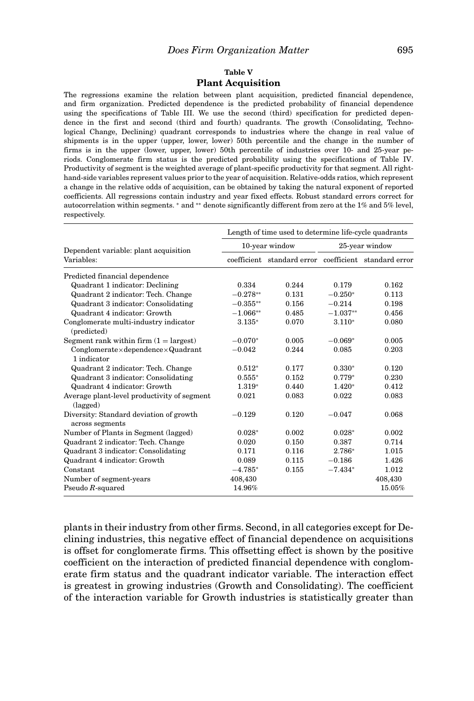### **Table V Plant Acquisition**

The regressions examine the relation between plant acquisition, predicted financial dependence, and firm organization. Predicted dependence is the predicted probability of financial dependence using the specifications of Table III. We use the second (third) specification for predicted dependence in the first and second (third and fourth) quadrants. The growth (Consolidating, Technological Change, Declining) quadrant corresponds to industries where the change in real value of shipments is in the upper (upper, lower, lower) 50th percentile and the change in the number of firms is in the upper (lower, upper, lower) 50th percentile of industries over 10- and 25-year periods. Conglomerate firm status is the predicted probability using the specifications of Table IV. Productivity of segment is the weighted average of plant-specific productivity for that segment. All righthand-side variables represent values prior to the year of acquisition. Relative-odds ratios, which represent a change in the relative odds of acquisition, can be obtained by taking the natural exponent of reported coefficients. All regressions contain industry and year fixed effects. Robust standard errors correct for autocorrelation within segments. <sup>∗</sup> and ∗∗ denote significantly different from zero at the 1% and 5% level, respectively.

|                                                                 | Length of time used to determine life-cycle quadrants |                                                       |            |                |
|-----------------------------------------------------------------|-------------------------------------------------------|-------------------------------------------------------|------------|----------------|
| Dependent variable: plant acquisition                           |                                                       | 10-year window                                        |            | 25-year window |
| Variables:                                                      |                                                       | coefficient standard error coefficient standard error |            |                |
| Predicted financial dependence                                  |                                                       |                                                       |            |                |
| Quadrant 1 indicator: Declining                                 | 0.334                                                 | 0.244                                                 | 0.179      | 0.162          |
| Quadrant 2 indicator: Tech. Change                              | $-0.278**$                                            | 0.131                                                 | $-0.250*$  | 0.113          |
| Quadrant 3 indicator: Consolidating                             | $-0.355**$                                            | 0.156                                                 | $-0.214$   | 0.198          |
| Quadrant 4 indicator: Growth                                    | $-1.066**$                                            | 0.485                                                 | $-1.037**$ | 0.456          |
| Conglomerate multi-industry indicator<br>(predicted)            | $3.135*$                                              | 0.070                                                 | $3.110*$   | 0.080          |
| Segment rank within firm $(1 = \text{largest})$                 | $-0.070*$                                             | 0.005                                                 | $-0.069*$  | 0.005          |
| $Conglomerate \times dependence \times Quadrant$<br>1 indicator | $-0.042$                                              | 0.244                                                 | 0.085      | 0.203          |
| Quadrant 2 indicator: Tech. Change                              | $0.512*$                                              | 0.177                                                 | $0.330*$   | 0.120          |
| Quadrant 3 indicator: Consolidating                             | $0.555*$                                              | 0.152                                                 | $0.779*$   | 0.230          |
| Quadrant 4 indicator: Growth                                    | $1.319*$                                              | 0.440                                                 | $1.420*$   | 0.412          |
| Average plant-level productivity of segment<br>(lagged)         | 0.021                                                 | 0.083                                                 | 0.022      | 0.083          |
| Diversity: Standard deviation of growth<br>across segments      | $-0.129$                                              | 0.120                                                 | $-0.047$   | 0.068          |
| Number of Plants in Segment (lagged)                            | $0.028*$                                              | 0.002                                                 | $0.028*$   | 0.002          |
| Quadrant 2 indicator: Tech. Change                              | 0.020                                                 | 0.150                                                 | 0.387      | 0.714          |
| Quadrant 3 indicator: Consolidating                             | 0.171                                                 | 0.116                                                 | 2.786*     | 1.015          |
| Quadrant 4 indicator: Growth                                    | 0.089                                                 | 0.115                                                 | $-0.186$   | 1.426          |
| Constant                                                        | $-4.785*$                                             | 0.155                                                 | $-7.434*$  | 1.012          |
| Number of segment-years                                         | 408,430                                               |                                                       |            | 408,430        |
| Pseudo $R$ -squared                                             | 14.96%                                                |                                                       |            | 15.05%         |

plants in their industry from other firms. Second, in all categories except for Declining industries, this negative effect of financial dependence on acquisitions is offset for conglomerate firms. This offsetting effect is shown by the positive coefficient on the interaction of predicted financial dependence with conglomerate firm status and the quadrant indicator variable. The interaction effect is greatest in growing industries (Growth and Consolidating). The coefficient of the interaction variable for Growth industries is statistically greater than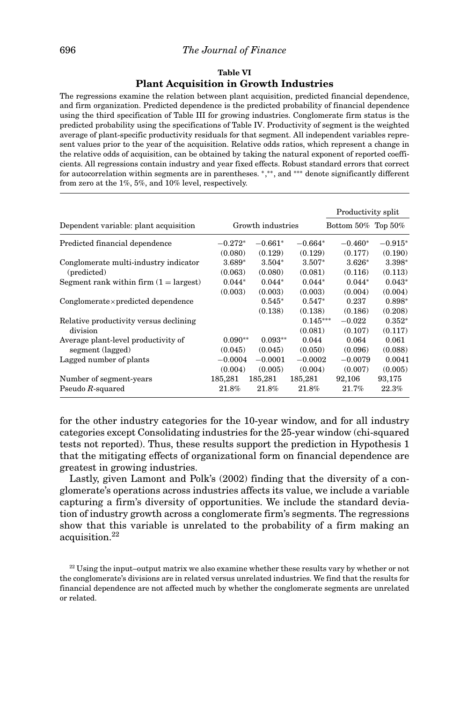## **Table VI Plant Acquisition in Growth Industries**

The regressions examine the relation between plant acquisition, predicted financial dependence, and firm organization. Predicted dependence is the predicted probability of financial dependence using the third specification of Table III for growing industries. Conglomerate firm status is the predicted probability using the specifications of Table IV. Productivity of segment is the weighted average of plant-specific productivity residuals for that segment. All independent variables represent values prior to the year of the acquisition. Relative odds ratios, which represent a change in the relative odds of acquisition, can be obtained by taking the natural exponent of reported coefficients. All regressions contain industry and year fixed effects. Robust standard errors that correct for autocorrelation within segments are in parentheses. \*,\*\*, and \*\*\* denote significantly different from zero at the 1%, 5%, and 10% level, respectively.

|                                                 |           |                   |            | Productivity split |           |
|-------------------------------------------------|-----------|-------------------|------------|--------------------|-----------|
| Dependent variable: plant acquisition           |           | Growth industries |            | Bottom 50% Top 50% |           |
| Predicted financial dependence                  | $-0.272*$ | $-0.661*$         | $-0.664*$  | $-0.460*$          | $-0.915*$ |
|                                                 | (0.080)   | (0.129)           | (0.129)    | (0.177)            | (0.190)   |
| Conglomerate multi-industry indicator           | $3.689*$  | $3.504*$          | $3.507*$   | $3.626*$           | $3.398*$  |
| (predicted)                                     | (0.063)   | (0.080)           | (0.081)    | (0.116)            | (0.113)   |
| Segment rank within firm $(1 = \text{largest})$ | $0.044*$  | $0.044*$          | $0.044*$   | $0.044*$           | $0.043*$  |
|                                                 | (0.003)   | (0.003)           | (0.003)    | (0.004)            | (0.004)   |
| $Conglomerate\times predicted\ dependence$      |           | $0.545*$          | $0.547*$   | 0.237              | $0.898*$  |
|                                                 |           | (0.138)           | (0.138)    | (0.186)            | (0.208)   |
| Relative productivity versus declining          |           |                   | $0.145***$ | $-0.022$           | $0.352*$  |
| division                                        |           |                   | (0.081)    | (0.107)            | (0.117)   |
| Average plant-level productivity of             | $0.090**$ | $0.093**$         | 0.044      | 0.064              | 0.061     |
| segment (lagged)                                | (0.045)   | (0.045)           | (0.050)    | (0.096)            | (0.088)   |
| Lagged number of plants                         | $-0.0004$ | $-0.0001$         | $-0.0002$  | $-0.0079$          | 0.0041    |
|                                                 | (0.004)   | (0.005)           | (0.004)    | (0.007)            | (0.005)   |
| Number of segment-years                         | 185,281   | 185,281           | 185,281    | 92,106             | 93,175    |
| Pseudo $R$ -squared                             | $21.8\%$  | $21.8\%$          | 21.8%      | 21.7%              | 22.3%     |

for the other industry categories for the 10-year window, and for all industry categories except Consolidating industries for the 25-year window (chi-squared tests not reported). Thus, these results support the prediction in Hypothesis 1 that the mitigating effects of organizational form on financial dependence are greatest in growing industries.

Lastly, given Lamont and Polk's (2002) finding that the diversity of a conglomerate's operations across industries affects its value, we include a variable capturing a firm's diversity of opportunities. We include the standard deviation of industry growth across a conglomerate firm's segments. The regressions show that this variable is unrelated to the probability of a firm making an acquisition.<sup>22</sup>

<sup>&</sup>lt;sup>22</sup> Using the input–output matrix we also examine whether these results vary by whether or not the conglomerate's divisions are in related versus unrelated industries. We find that the results for financial dependence are not affected much by whether the conglomerate segments are unrelated or related.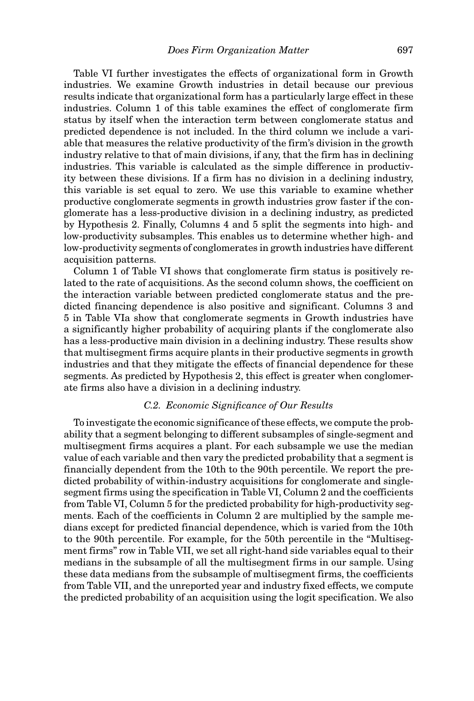Table VI further investigates the effects of organizational form in Growth industries. We examine Growth industries in detail because our previous results indicate that organizational form has a particularly large effect in these industries. Column 1 of this table examines the effect of conglomerate firm status by itself when the interaction term between conglomerate status and predicted dependence is not included. In the third column we include a variable that measures the relative productivity of the firm's division in the growth industry relative to that of main divisions, if any, that the firm has in declining industries. This variable is calculated as the simple difference in productivity between these divisions. If a firm has no division in a declining industry, this variable is set equal to zero. We use this variable to examine whether productive conglomerate segments in growth industries grow faster if the conglomerate has a less-productive division in a declining industry, as predicted by Hypothesis 2. Finally, Columns 4 and 5 split the segments into high- and low-productivity subsamples. This enables us to determine whether high- and low-productivity segments of conglomerates in growth industries have different acquisition patterns.

Column 1 of Table VI shows that conglomerate firm status is positively related to the rate of acquisitions. As the second column shows, the coefficient on the interaction variable between predicted conglomerate status and the predicted financing dependence is also positive and significant. Columns 3 and 5 in Table VIa show that conglomerate segments in Growth industries have a significantly higher probability of acquiring plants if the conglomerate also has a less-productive main division in a declining industry. These results show that multisegment firms acquire plants in their productive segments in growth industries and that they mitigate the effects of financial dependence for these segments. As predicted by Hypothesis 2, this effect is greater when conglomerate firms also have a division in a declining industry.

## *C.2. Economic Significance of Our Results*

To investigate the economic significance of these effects, we compute the probability that a segment belonging to different subsamples of single-segment and multisegment firms acquires a plant. For each subsample we use the median value of each variable and then vary the predicted probability that a segment is financially dependent from the 10th to the 90th percentile. We report the predicted probability of within-industry acquisitions for conglomerate and singlesegment firms using the specification in Table VI, Column 2 and the coefficients from Table VI, Column 5 for the predicted probability for high-productivity segments. Each of the coefficients in Column 2 are multiplied by the sample medians except for predicted financial dependence, which is varied from the 10th to the 90th percentile. For example, for the 50th percentile in the "Multisegment firms" row in Table VII, we set all right-hand side variables equal to their medians in the subsample of all the multisegment firms in our sample. Using these data medians from the subsample of multisegment firms, the coefficients from Table VII, and the unreported year and industry fixed effects, we compute the predicted probability of an acquisition using the logit specification. We also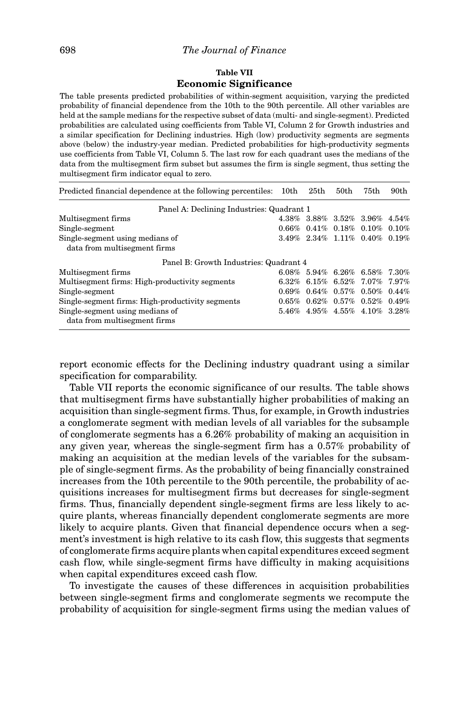## **Table VII Economic Significance**

The table presents predicted probabilities of within-segment acquisition, varying the predicted probability of financial dependence from the 10th to the 90th percentile. All other variables are held at the sample medians for the respective subset of data (multi- and single-segment). Predicted probabilities are calculated using coefficients from Table VI, Column 2 for Growth industries and a similar specification for Declining industries. High (low) productivity segments are segments above (below) the industry-year median. Predicted probabilities for high-productivity segments use coefficients from Table VI, Column 5. The last row for each quadrant uses the medians of the data from the multisegment firm subset but assumes the firm is single segment, thus setting the multisegment firm indicator equal to zero.

| Predicted financial dependence at the following percentiles: 10th 25th |  | 50 <sub>th</sub>                             | 75th | 90 <sub>th</sub> |
|------------------------------------------------------------------------|--|----------------------------------------------|------|------------------|
| Panel A: Declining Industries: Quadrant 1                              |  |                                              |      |                  |
| Multisegment firms                                                     |  | $4.38\%$ 3.88% $3.52\%$ 3.96% $4.54\%$       |      |                  |
| Single-segment                                                         |  | $0.66\%$ $0.41\%$ $0.18\%$ $0.10\%$ $0.10\%$ |      |                  |
| Single-segment using medians of<br>data from multisegment firms        |  | 3.49% 2.34% 1.11% 0.40% 0.19%                |      |                  |
| Panel B: Growth Industries: Quadrant 4                                 |  |                                              |      |                  |
| Multisegment firms                                                     |  | $6.08\%$ 5.94\% 6.26\% 6.58\% 7.30\%         |      |                  |
| Multisegment firms: High-productivity segments                         |  | $6.32\%$ 6.15\% 6.52\% 7.07\% 7.97\%         |      |                  |
| Single-segment                                                         |  | $0.69\%$ $0.64\%$ $0.57\%$ $0.50\%$ $0.44\%$ |      |                  |
| Single-segment firms: High-productivity segments                       |  | $0.65\%$ $0.62\%$ $0.57\%$ $0.52\%$ $0.49\%$ |      |                  |
| Single-segment using medians of<br>data from multisegment firms        |  | 5.46\% 4.95\% 4.55\% 4.10\% 3.28\%           |      |                  |

report economic effects for the Declining industry quadrant using a similar specification for comparability.

Table VII reports the economic significance of our results. The table shows that multisegment firms have substantially higher probabilities of making an acquisition than single-segment firms. Thus, for example, in Growth industries a conglomerate segment with median levels of all variables for the subsample of conglomerate segments has a 6.26% probability of making an acquisition in any given year, whereas the single-segment firm has a 0.57% probability of making an acquisition at the median levels of the variables for the subsample of single-segment firms. As the probability of being financially constrained increases from the 10th percentile to the 90th percentile, the probability of acquisitions increases for multisegment firms but decreases for single-segment firms. Thus, financially dependent single-segment firms are less likely to acquire plants, whereas financially dependent conglomerate segments are more likely to acquire plants. Given that financial dependence occurs when a segment's investment is high relative to its cash flow, this suggests that segments of conglomerate firms acquire plants when capital expenditures exceed segment cash flow, while single-segment firms have difficulty in making acquisitions when capital expenditures exceed cash flow.

To investigate the causes of these differences in acquisition probabilities between single-segment firms and conglomerate segments we recompute the probability of acquisition for single-segment firms using the median values of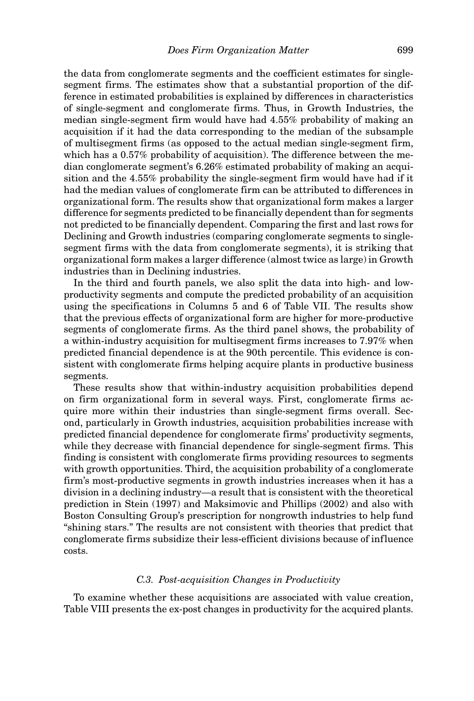the data from conglomerate segments and the coefficient estimates for singlesegment firms. The estimates show that a substantial proportion of the difference in estimated probabilities is explained by differences in characteristics of single-segment and conglomerate firms. Thus, in Growth Industries, the median single-segment firm would have had 4.55% probability of making an acquisition if it had the data corresponding to the median of the subsample of multisegment firms (as opposed to the actual median single-segment firm, which has a  $0.57\%$  probability of acquisition). The difference between the median conglomerate segment's 6.26% estimated probability of making an acquisition and the 4.55% probability the single-segment firm would have had if it had the median values of conglomerate firm can be attributed to differences in organizational form. The results show that organizational form makes a larger difference for segments predicted to be financially dependent than for segments not predicted to be financially dependent. Comparing the first and last rows for Declining and Growth industries (comparing conglomerate segments to singlesegment firms with the data from conglomerate segments), it is striking that organizational form makes a larger difference (almost twice as large) in Growth industries than in Declining industries.

In the third and fourth panels, we also split the data into high- and lowproductivity segments and compute the predicted probability of an acquisition using the specifications in Columns 5 and 6 of Table VII. The results show that the previous effects of organizational form are higher for more-productive segments of conglomerate firms. As the third panel shows, the probability of a within-industry acquisition for multisegment firms increases to 7.97% when predicted financial dependence is at the 90th percentile. This evidence is consistent with conglomerate firms helping acquire plants in productive business segments.

These results show that within-industry acquisition probabilities depend on firm organizational form in several ways. First, conglomerate firms acquire more within their industries than single-segment firms overall. Second, particularly in Growth industries, acquisition probabilities increase with predicted financial dependence for conglomerate firms' productivity segments, while they decrease with financial dependence for single-segment firms. This finding is consistent with conglomerate firms providing resources to segments with growth opportunities. Third, the acquisition probability of a conglomerate firm's most-productive segments in growth industries increases when it has a division in a declining industry—a result that is consistent with the theoretical prediction in Stein (1997) and Maksimovic and Phillips (2002) and also with Boston Consulting Group's prescription for nongrowth industries to help fund "shining stars." The results are not consistent with theories that predict that conglomerate firms subsidize their less-efficient divisions because of influence costs.

### *C.3. Post-acquisition Changes in Productivity*

To examine whether these acquisitions are associated with value creation, Table VIII presents the ex-post changes in productivity for the acquired plants.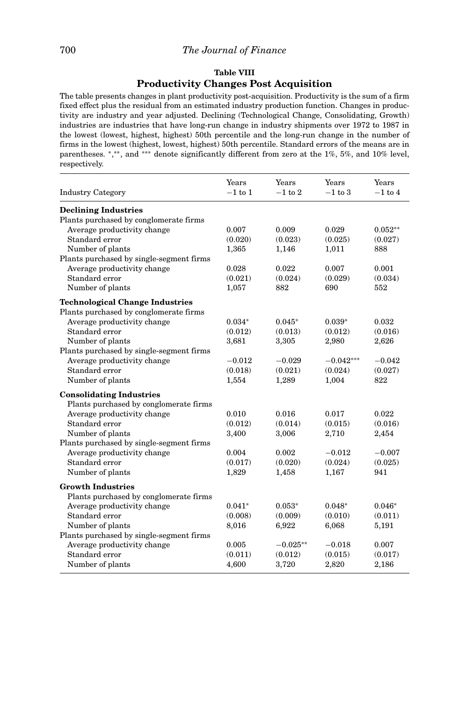# **Table VIII Productivity Changes Post Acquisition**

The table presents changes in plant productivity post-acquisition. Productivity is the sum of a firm fixed effect plus the residual from an estimated industry production function. Changes in productivity are industry and year adjusted. Declining (Technological Change, Consolidating, Growth) industries are industries that have long-run change in industry shipments over 1972 to 1987 in the lowest (lowest, highest, highest) 50th percentile and the long-run change in the number of firms in the lowest (highest, lowest, highest) 50th percentile. Standard errors of the means are in parentheses. \*,\*\*, and \*\*\* denote significantly different from zero at the 1%, 5%, and 10% level, respectively.

| <b>Industry Category</b>                 | Years<br>$-1$ to 1 | $\rm Years$<br>$-1$ to 2 | Years<br>$-1$ to 3 | Years<br>$-1$ to 4 |
|------------------------------------------|--------------------|--------------------------|--------------------|--------------------|
| <b>Declining Industries</b>              |                    |                          |                    |                    |
| Plants purchased by conglomerate firms   |                    |                          |                    |                    |
| Average productivity change              | 0.007              | 0.009                    | 0.029              | $0.052^{\ast\ast}$ |
| Standard error                           | (0.020)            | (0.023)                  | (0.025)            | (0.027)            |
| Number of plants                         | 1,365              | 1,146                    | 1,011              | 888                |
| Plants purchased by single-segment firms |                    |                          |                    |                    |
| Average productivity change              | 0.028              | 0.022                    | 0.007              | 0.001              |
| Standard error                           | (0.021)            | (0.024)                  | (0.029)            | (0.034)            |
| Number of plants                         | 1,057              | 882                      | 690                | 552                |
| <b>Technological Change Industries</b>   |                    |                          |                    |                    |
| Plants purchased by conglomerate firms   |                    |                          |                    |                    |
| Average productivity change              | $0.034*$           | $0.045*$                 | $0.039*$           | 0.032              |
| Standard error                           | (0.012)            | (0.013)                  | (0.012)            | (0.016)            |
| Number of plants                         | 3,681              | 3,305                    | 2,980              | 2,626              |
| Plants purchased by single-segment firms |                    |                          |                    |                    |
| Average productivity change              | $-0.012$           | $-0.029$                 | $-0.042***$        | $-0.042$           |
| Standard error                           | (0.018)            | (0.021)                  | (0.024)            | (0.027)            |
| Number of plants                         | 1,554              | 1,289                    | 1,004              | 822                |
| <b>Consolidating Industries</b>          |                    |                          |                    |                    |
| Plants purchased by conglomerate firms   |                    |                          |                    |                    |
| Average productivity change              | 0.010              | 0.016                    | 0.017              | 0.022              |
| Standard error                           | (0.012)            | (0.014)                  | (0.015)            | (0.016)            |
| Number of plants                         | 3,400              | 3,006                    | 2,710              | 2,454              |
| Plants purchased by single-segment firms |                    |                          |                    |                    |
| Average productivity change              | 0.004              | 0.002                    | $-0.012$           | $-0.007$           |
| Standard error                           | (0.017)            | (0.020)                  | (0.024)            | (0.025)            |
| Number of plants                         | 1,829              | 1,458                    | 1,167              | 941                |
| <b>Growth Industries</b>                 |                    |                          |                    |                    |
| Plants purchased by conglomerate firms   |                    |                          |                    |                    |
| Average productivity change              | $0.041*$           | $0.053*$                 | $0.048*$           | $0.046*$           |
| Standard error                           | (0.008)            | (0.009)                  | (0.010)            | (0.011)            |
| Number of plants                         | 8,016              | 6,922                    | 6,068              | 5,191              |
| Plants purchased by single-segment firms |                    |                          |                    |                    |
| Average productivity change              | 0.005              | $-0.025**$               | $-0.018$           | 0.007              |
| Standard error                           | (0.011)            | (0.012)                  | (0.015)            | (0.017)            |
| Number of plants                         | 4,600              | 3,720                    | 2,820              | 2,186              |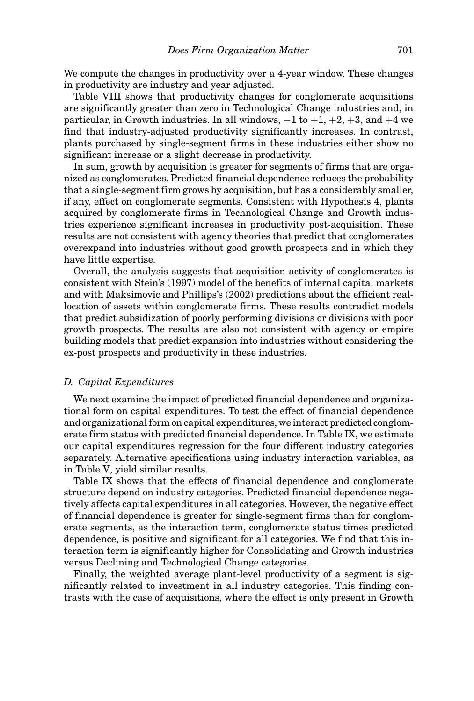We compute the changes in productivity over a 4-year window. These changes in productivity are industry and year adjusted.

Table VIII shows that productivity changes for conglomerate acquisitions are significantly greater than zero in Technological Change industries and, in particular, in Growth industries. In all windows,  $-1$  to  $+1$ ,  $+2$ ,  $+3$ , and  $+4$  we find that industry-adjusted productivity significantly increases. In contrast, plants purchased by single-segment firms in these industries either show no significant increase or a slight decrease in productivity.

In sum, growth by acquisition is greater for segments of firms that are organized as conglomerates. Predicted financial dependence reduces the probability that a single-segment firm grows by acquisition, but has a considerably smaller, if any, effect on conglomerate segments. Consistent with Hypothesis 4, plants acquired by conglomerate firms in Technological Change and Growth industries experience significant increases in productivity post-acquisition. These results are not consistent with agency theories that predict that conglomerates overexpand into industries without good growth prospects and in which they have little expertise.

Overall, the analysis suggests that acquisition activity of conglomerates is consistent with Stein's (1997) model of the benefits of internal capital markets and with Maksimovic and Phillips's (2002) predictions about the efficient reallocation of assets within conglomerate firms. These results contradict models that predict subsidization of poorly performing divisions or divisions with poor growth prospects. The results are also not consistent with agency or empire building models that predict expansion into industries without considering the ex-post prospects and productivity in these industries.

## *D. Capital Expenditures*

We next examine the impact of predicted financial dependence and organizational form on capital expenditures. To test the effect of financial dependence and organizational form on capital expenditures, we interact predicted conglomerate firm status with predicted financial dependence. In Table IX, we estimate our capital expenditures regression for the four different industry categories separately. Alternative specifications using industry interaction variables, as in Table V, yield similar results.

Table IX shows that the effects of financial dependence and conglomerate structure depend on industry categories. Predicted financial dependence negatively affects capital expenditures in all categories. However, the negative effect of financial dependence is greater for single-segment firms than for conglomerate segments, as the interaction term, conglomerate status times predicted dependence, is positive and significant for all categories. We find that this interaction term is significantly higher for Consolidating and Growth industries versus Declining and Technological Change categories.

Finally, the weighted average plant-level productivity of a segment is significantly related to investment in all industry categories. This finding contrasts with the case of acquisitions, where the effect is only present in Growth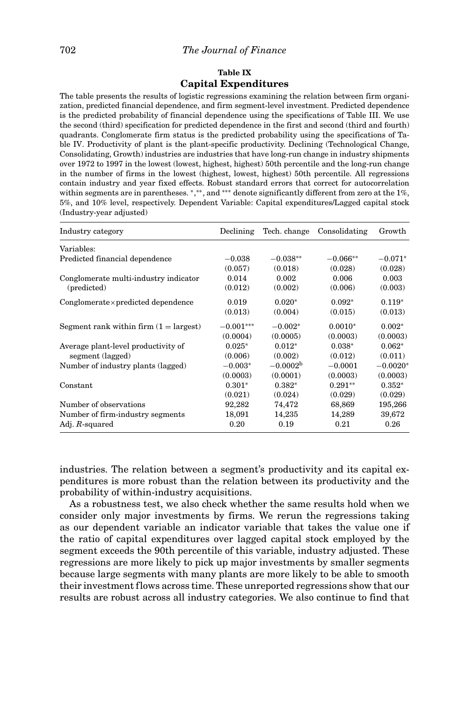# **Table IX Capital Expenditures**

The table presents the results of logistic regressions examining the relation between firm organization, predicted financial dependence, and firm segment-level investment. Predicted dependence is the predicted probability of financial dependence using the specifications of Table III. We use the second (third) specification for predicted dependence in the first and second (third and fourth) quadrants. Conglomerate firm status is the predicted probability using the specifications of Table IV. Productivity of plant is the plant-specific productivity. Declining (Technological Change, Consolidating, Growth) industries are industries that have long-run change in industry shipments over 1972 to 1997 in the lowest (lowest, highest, highest) 50th percentile and the long-run change in the number of firms in the lowest (highest, lowest, highest) 50th percentile. All regressions contain industry and year fixed effects. Robust standard errors that correct for autocorrelation within segments are in parentheses. ∗, ∗∗, and ∗∗∗ denote significantly different from zero at the 1%, 5%, and 10% level, respectively. Dependent Variable: Capital expenditures/Lagged capital stock (Industry-year adjusted)

| Industry category                               | Declining   | Tech. change | Consolidating | Growth     |
|-------------------------------------------------|-------------|--------------|---------------|------------|
| Variables:                                      |             |              |               |            |
| Predicted financial dependence                  | $-0.038$    | $-0.038**$   | $-0.066**$    | $-0.071*$  |
|                                                 | (0.057)     | (0.018)      | (0.028)       | (0.028)    |
| Conglomerate multi-industry indicator           | 0.014       | 0.002        | 0.006         | 0.003      |
| (predicted)                                     | (0.012)     | (0.002)      | (0.006)       | (0.003)    |
| $Conglomerate\times predicted\ dependence$      | 0.019       | $0.020*$     | $0.092*$      | $0.119*$   |
|                                                 | (0.013)     | (0.004)      | (0.015)       | (0.013)    |
| Segment rank within firm $(1 = \text{largest})$ | $-0.001***$ | $-0.002*$    | $0.0010*$     | $0.002*$   |
|                                                 | (0.0004)    | (0.0005)     | (0.0003)      | (0.0003)   |
| Average plant-level productivity of             | $0.025*$    | $0.012*$     | $0.038*$      | $0.062*$   |
| segment (lagged)                                | (0.006)     | (0.002)      | (0.012)       | (0.011)    |
| Number of industry plants (lagged)              | $-0.003*$   | $-0.0002b$   | $-0.0001$     | $-0.0020*$ |
|                                                 | (0.0003)    | (0.0001)     | (0.0003)      | (0.0003)   |
| Constant                                        | $0.301*$    | $0.382*$     | $0.291**$     | $0.352*$   |
|                                                 | (0.021)     | (0.024)      | (0.029)       | (0.029)    |
| Number of observations                          | 92,282      | 74,472       | 68,869        | 195,266    |
| Number of firm-industry segments                | 18,091      | 14,235       | 14,289        | 39,672     |
| Adj. $R$ -squared                               | 0.20        | 0.19         | 0.21          | 0.26       |

industries. The relation between a segment's productivity and its capital expenditures is more robust than the relation between its productivity and the probability of within-industry acquisitions.

As a robustness test, we also check whether the same results hold when we consider only major investments by firms. We rerun the regressions taking as our dependent variable an indicator variable that takes the value one if the ratio of capital expenditures over lagged capital stock employed by the segment exceeds the 90th percentile of this variable, industry adjusted. These regressions are more likely to pick up major investments by smaller segments because large segments with many plants are more likely to be able to smooth their investment flows across time. These unreported regressions show that our results are robust across all industry categories. We also continue to find that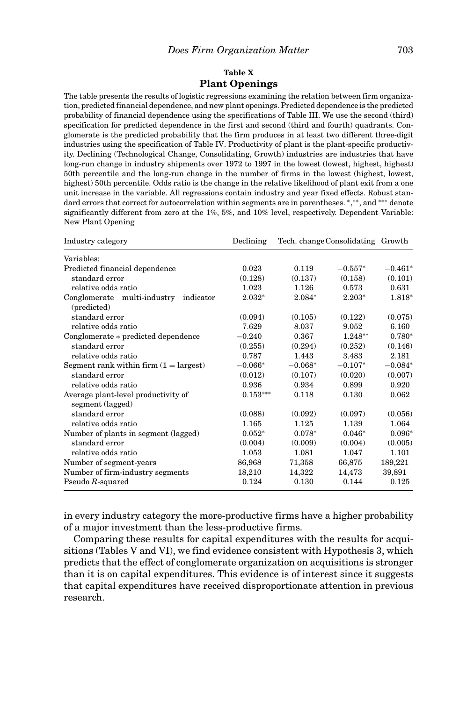# **Table X Plant Openings**

The table presents the results of logistic regressions examining the relation between firm organization, predicted financial dependence, and new plant openings. Predicted dependence is the predicted probability of financial dependence using the specifications of Table III. We use the second (third) specification for predicted dependence in the first and second (third and fourth) quadrants. Conglomerate is the predicted probability that the firm produces in at least two different three-digit industries using the specification of Table IV. Productivity of plant is the plant-specific productivity. Declining (Technological Change, Consolidating, Growth) industries are industries that have long-run change in industry shipments over 1972 to 1997 in the lowest (lowest, highest, highest) 50th percentile and the long-run change in the number of firms in the lowest (highest, lowest, highest) 50th percentile. Odds ratio is the change in the relative likelihood of plant exit from a one unit increase in the variable. All regressions contain industry and year fixed effects. Robust standard errors that correct for autocorrelation within segments are in parentheses. ∗, ∗∗, and ∗∗∗ denote significantly different from zero at the 1%, 5%, and 10% level, respectively. Dependent Variable: New Plant Opening

| Industry category                                       | Declining  | Tech. change Consolidating Growth |           |           |
|---------------------------------------------------------|------------|-----------------------------------|-----------|-----------|
| Variables:                                              |            |                                   |           |           |
| Predicted financial dependence                          | 0.023      | 0.119                             | $-0.557*$ | $-0.461*$ |
| standard error                                          | (0.128)    | (0.137)                           | (0.158)   | (0.101)   |
| relative odds ratio                                     | 1.023      | 1.126                             | 0.573     | 0.631     |
| Conglomerate multi-industry<br>indicator<br>(predicted) | $2.032*$   | $2.084*$                          | $2.203*$  | 1.818*    |
| standard error                                          | (0.094)    | (0.105)                           | (0.122)   | (0.075)   |
| relative odds ratio                                     | 7.629      | 8.037                             | 9.052     | 6.160     |
| Conglomerate * predicted dependence                     | $-0.240$   | 0.367                             | $1.248**$ | $0.780*$  |
| standard error                                          | (0.255)    | (0.294)                           | (0.252)   | (0.146)   |
| relative odds ratio                                     | 0.787      | 1.443                             | 3.483     | 2.181     |
| Segment rank within firm $(1 = \text{largest})$         | $-0.066*$  | $-0.068*$                         | $-0.107*$ | $-0.084*$ |
| standard error                                          | (0.012)    | (0.107)                           | (0.020)   | (0.007)   |
| relative odds ratio                                     | 0.936      | 0.934                             | 0.899     | 0.920     |
| Average plant-level productivity of<br>segment (lagged) | $0.153***$ | 0.118                             | 0.130     | 0.062     |
| standard error                                          | (0.088)    | (0.092)                           | (0.097)   | (0.056)   |
| relative odds ratio                                     | 1.165      | 1.125                             | 1.139     | 1.064     |
| Number of plants in segment (lagged)                    | $0.052*$   | $0.078*$                          | $0.046*$  | $0.096*$  |
| standard error                                          | (0.004)    | (0.009)                           | (0.004)   | (0.005)   |
| relative odds ratio                                     | 1.053      | 1.081                             | 1.047     | 1.101     |
| Number of segment-years                                 | 86,968     | 71,358                            | 66,875    | 189,221   |
| Number of firm-industry segments                        | 18,210     | 14,322                            | 14,473    | 39,891    |
| Pseudo $R$ -squared                                     | 0.124      | 0.130                             | 0.144     | 0.125     |

in every industry category the more-productive firms have a higher probability of a major investment than the less-productive firms.

Comparing these results for capital expenditures with the results for acquisitions (Tables V and VI), we find evidence consistent with Hypothesis 3, which predicts that the effect of conglomerate organization on acquisitions is stronger than it is on capital expenditures. This evidence is of interest since it suggests that capital expenditures have received disproportionate attention in previous research.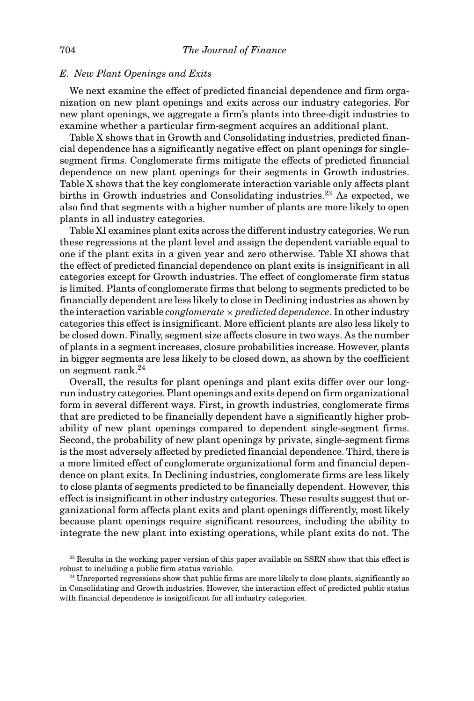#### *E. New Plant Openings and Exits*

We next examine the effect of predicted financial dependence and firm organization on new plant openings and exits across our industry categories. For new plant openings, we aggregate a firm's plants into three-digit industries to examine whether a particular firm-segment acquires an additional plant.

Table X shows that in Growth and Consolidating industries, predicted financial dependence has a significantly negative effect on plant openings for singlesegment firms. Conglomerate firms mitigate the effects of predicted financial dependence on new plant openings for their segments in Growth industries. Table X shows that the key conglomerate interaction variable only affects plant births in Growth industries and Consolidating industries.<sup>23</sup> As expected, we also find that segments with a higher number of plants are more likely to open plants in all industry categories.

Table XI examines plant exits across the different industry categories. We run these regressions at the plant level and assign the dependent variable equal to one if the plant exits in a given year and zero otherwise. Table XI shows that the effect of predicted financial dependence on plant exits is insignificant in all categories except for Growth industries. The effect of conglomerate firm status is limited. Plants of conglomerate firms that belong to segments predicted to be financially dependent are less likely to close in Declining industries as shown by the interaction variable *conglomerate* × *predicted dependence*. In other industry categories this effect is insignificant. More efficient plants are also less likely to be closed down. Finally, segment size affects closure in two ways. As the number of plants in a segment increases, closure probabilities increase. However, plants in bigger segments are less likely to be closed down, as shown by the coefficient on segment rank.24

Overall, the results for plant openings and plant exits differ over our longrun industry categories. Plant openings and exits depend on firm organizational form in several different ways. First, in growth industries, conglomerate firms that are predicted to be financially dependent have a significantly higher probability of new plant openings compared to dependent single-segment firms. Second, the probability of new plant openings by private, single-segment firms is the most adversely affected by predicted financial dependence. Third, there is a more limited effect of conglomerate organizational form and financial dependence on plant exits. In Declining industries, conglomerate firms are less likely to close plants of segments predicted to be financially dependent. However, this effect is insignificant in other industry categories. These results suggest that organizational form affects plant exits and plant openings differently, most likely because plant openings require significant resources, including the ability to integrate the new plant into existing operations, while plant exits do not. The

<sup>&</sup>lt;sup>23</sup> Results in the working paper version of this paper available on SSRN show that this effect is robust to including a public firm status variable.

 $24$  Unreported regressions show that public firms are more likely to close plants, significantly so in Consolidating and Growth industries. However, the interaction effect of predicted public status with financial dependence is insignificant for all industry categories.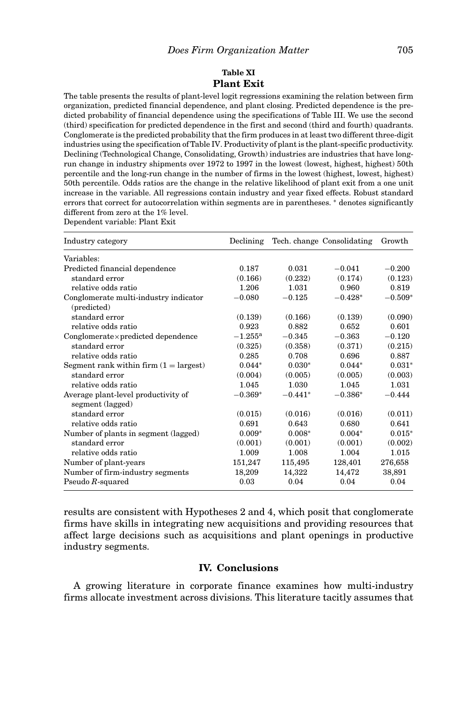## **Table XI Plant Exit**

The table presents the results of plant-level logit regressions examining the relation between firm organization, predicted financial dependence, and plant closing. Predicted dependence is the predicted probability of financial dependence using the specifications of Table III. We use the second (third) specification for predicted dependence in the first and second (third and fourth) quadrants. Conglomerate is the predicted probability that the firm produces in at least two different three-digit industries using the specification of Table IV. Productivity of plant is the plant-specific productivity. Declining (Technological Change, Consolidating, Growth) industries are industries that have longrun change in industry shipments over 1972 to 1997 in the lowest (lowest, highest, highest) 50th percentile and the long-run change in the number of firms in the lowest (highest, lowest, highest) 50th percentile. Odds ratios are the change in the relative likelihood of plant exit from a one unit increase in the variable. All regressions contain industry and year fixed effects. Robust standard errors that correct for autocorrelation within segments are in parentheses. \* denotes significantly different from zero at the 1% level.

Dependent variable: Plant Exit

| Industry category                                       | Declining        |           | Tech. change Consolidating | Growth    |
|---------------------------------------------------------|------------------|-----------|----------------------------|-----------|
| Variables:                                              |                  |           |                            |           |
| Predicted financial dependence                          | 0.187            | 0.031     | $-0.041$                   | $-0.200$  |
| standard error                                          | (0.166)          | (0.232)   | (0.174)                    | (0.123)   |
| relative odds ratio                                     | 1.206            | 1.031     | 0.960                      | 0.819     |
| Conglomerate multi-industry indicator<br>(predicted)    | $-0.080$         | $-0.125$  | $-0.428*$                  | $-0.509*$ |
| standard error                                          | (0.139)          | (0.166)   | (0.139)                    | (0.090)   |
| relative odds ratio                                     | 0.923            | 0.882     | 0.652                      | 0.601     |
| $Conglomerate \times predicted\ dependence$             | $-1.255^{\rm a}$ | $-0.345$  | $-0.363$                   | $-0.120$  |
| standard error                                          | (0.325)          | (0.358)   | (0.371)                    | (0.215)   |
| relative odds ratio                                     | 0.285            | 0.708     | 0.696                      | 0.887     |
| Segment rank within firm $(1 = \text{largest})$         | $0.044*$         | $0.030*$  | $0.044*$                   | $0.031*$  |
| standard error                                          | (0.004)          | (0.005)   | (0.005)                    | (0.003)   |
| relative odds ratio                                     | 1.045            | 1.030     | 1.045                      | 1.031     |
| Average plant-level productivity of<br>segment (lagged) | $-0.369*$        | $-0.441*$ | $-0.386*$                  | $-0.444$  |
| standard error                                          | (0.015)          | (0.016)   | (0.016)                    | (0.011)   |
| relative odds ratio                                     | 0.691            | 0.643     | 0.680                      | 0.641     |
| Number of plants in segment (lagged)                    | $0.009*$         | $0.008*$  | $0.004*$                   | $0.015*$  |
| standard error                                          | (0.001)          | (0.001)   | (0.001)                    | (0.002)   |
| relative odds ratio                                     | 1.009            | 1.008     | 1.004                      | 1.015     |
| Number of plant-years                                   | 151,247          | 115,495   | 128,401                    | 276,658   |
| Number of firm-industry segments                        | 18,209           | 14,322    | 14,472                     | 38,891    |
| Pseudo $R$ -squared                                     | 0.03             | 0.04      | 0.04                       | 0.04      |

results are consistent with Hypotheses 2 and 4, which posit that conglomerate firms have skills in integrating new acquisitions and providing resources that affect large decisions such as acquisitions and plant openings in productive industry segments.

# **IV. Conclusions**

A growing literature in corporate finance examines how multi-industry firms allocate investment across divisions. This literature tacitly assumes that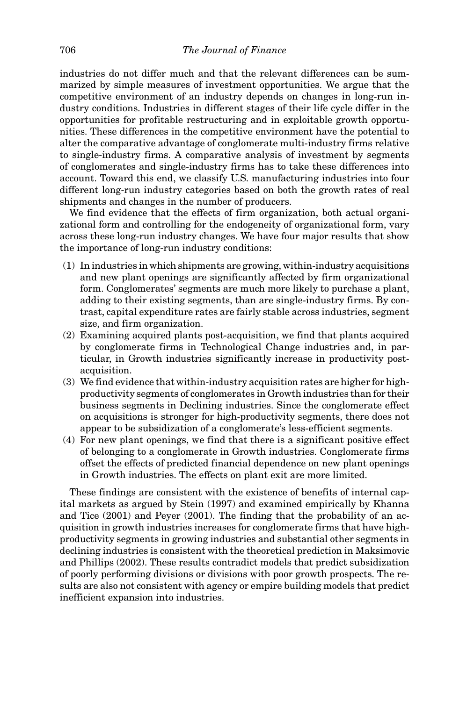industries do not differ much and that the relevant differences can be summarized by simple measures of investment opportunities. We argue that the competitive environment of an industry depends on changes in long-run industry conditions. Industries in different stages of their life cycle differ in the opportunities for profitable restructuring and in exploitable growth opportunities. These differences in the competitive environment have the potential to alter the comparative advantage of conglomerate multi-industry firms relative to single-industry firms. A comparative analysis of investment by segments of conglomerates and single-industry firms has to take these differences into account. Toward this end, we classify U.S. manufacturing industries into four different long-run industry categories based on both the growth rates of real shipments and changes in the number of producers.

We find evidence that the effects of firm organization, both actual organizational form and controlling for the endogeneity of organizational form, vary across these long-run industry changes. We have four major results that show the importance of long-run industry conditions:

- (1) In industries in which shipments are growing, within-industry acquisitions and new plant openings are significantly affected by firm organizational form. Conglomerates' segments are much more likely to purchase a plant, adding to their existing segments, than are single-industry firms. By contrast, capital expenditure rates are fairly stable across industries, segment size, and firm organization.
- (2) Examining acquired plants post-acquisition, we find that plants acquired by conglomerate firms in Technological Change industries and, in particular, in Growth industries significantly increase in productivity postacquisition.
- (3) We find evidence that within-industry acquisition rates are higher for highproductivity segments of conglomerates in Growth industries than for their business segments in Declining industries. Since the conglomerate effect on acquisitions is stronger for high-productivity segments, there does not appear to be subsidization of a conglomerate's less-efficient segments.
- (4) For new plant openings, we find that there is a significant positive effect of belonging to a conglomerate in Growth industries. Conglomerate firms offset the effects of predicted financial dependence on new plant openings in Growth industries. The effects on plant exit are more limited.

These findings are consistent with the existence of benefits of internal capital markets as argued by Stein (1997) and examined empirically by Khanna and Tice (2001) and Peyer (2001). The finding that the probability of an acquisition in growth industries increases for conglomerate firms that have highproductivity segments in growing industries and substantial other segments in declining industries is consistent with the theoretical prediction in Maksimovic and Phillips (2002). These results contradict models that predict subsidization of poorly performing divisions or divisions with poor growth prospects. The results are also not consistent with agency or empire building models that predict inefficient expansion into industries.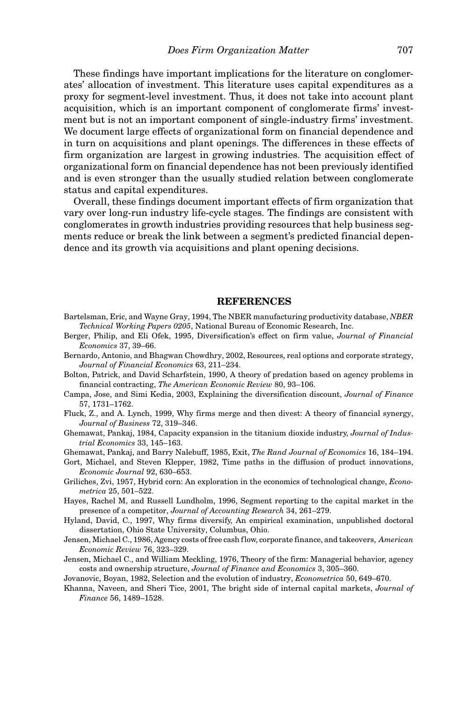These findings have important implications for the literature on conglomerates' allocation of investment. This literature uses capital expenditures as a proxy for segment-level investment. Thus, it does not take into account plant acquisition, which is an important component of conglomerate firms' investment but is not an important component of single-industry firms' investment. We document large effects of organizational form on financial dependence and in turn on acquisitions and plant openings. The differences in these effects of firm organization are largest in growing industries. The acquisition effect of organizational form on financial dependence has not been previously identified and is even stronger than the usually studied relation between conglomerate status and capital expenditures.

Overall, these findings document important effects of firm organization that vary over long-run industry life-cycle stages. The findings are consistent with conglomerates in growth industries providing resources that help business segments reduce or break the link between a segment's predicted financial dependence and its growth via acquisitions and plant opening decisions.

#### **REFERENCES**

- Bartelsman, Eric, and Wayne Gray, 1994, The NBER manufacturing productivity database, *NBER Technical Working Papers 0205*, National Bureau of Economic Research, Inc.
- Berger, Philip, and Eli Ofek, 1995, Diversification's effect on firm value, *Journal of Financial Economics* 37, 39–66.
- Bernardo, Antonio, and Bhagwan Chowdhry, 2002, Resources, real options and corporate strategy, *Journal of Financial Economics* 63, 211–234.
- Bolton, Patrick, and David Scharfstein, 1990, A theory of predation based on agency problems in financial contracting, *The American Economic Review* 80, 93–106.
- Campa, Jose, and Simi Kedia, 2003, Explaining the diversification discount, *Journal of Finance* 57, 1731–1762.
- Fluck, Z., and A. Lynch, 1999, Why firms merge and then divest: A theory of financial synergy, *Journal of Business* 72, 319–346.
- Ghemawat, Pankaj, 1984, Capacity expansion in the titanium dioxide industry, *Journal of Industrial Economics* 33, 145–163.
- Ghemawat, Pankaj, and Barry Nalebuff, 1985, Exit, *The Rand Journal of Economics* 16, 184–194.
- Gort, Michael, and Steven Klepper, 1982, Time paths in the diffusion of product innovations, *Economic Journal* 92, 630–653.
- Griliches, Zvi, 1957, Hybrid corn: An exploration in the economics of technological change, *Econometrica* 25, 501–522.
- Hayes, Rachel M, and Russell Lundholm, 1996, Segment reporting to the capital market in the presence of a competitor, *Journal of Accounting Research* 34, 261–279.
- Hyland, David, C., 1997, Why firms diversify, An empirical examination, unpublished doctoral dissertation, Ohio State University, Columbus, Ohio.
- Jensen, Michael C., 1986, Agency costs of free cash flow, corporate finance, and takeovers, *American Economic Review* 76, 323–329.

Jensen, Michael C., and William Meckling, 1976, Theory of the firm: Managerial behavior, agency costs and ownership structure, *Journal of Finance and Economics* 3, 305–360.

Jovanovic, Boyan, 1982, Selection and the evolution of industry, *Econometrica* 50, 649–670.

Khanna, Naveen, and Sheri Tice, 2001, The bright side of internal capital markets, *Journal of Finance* 56, 1489–1528.